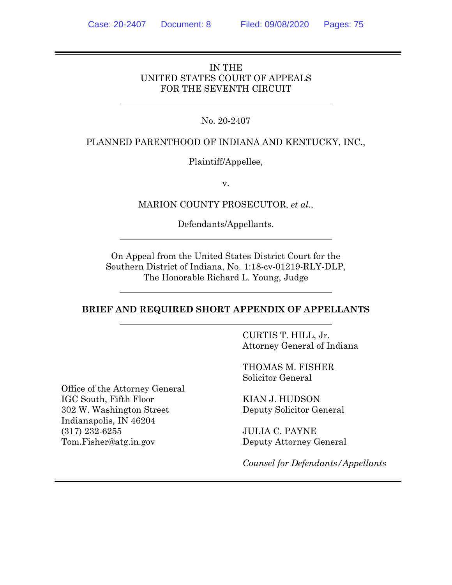# IN THE UNITED STATES COURT OF APPEALS FOR THE SEVENTH CIRCUIT

# No. 20-2407

#### PLANNED PARENTHOOD OF INDIANA AND KENTUCKY, INC.,

#### Plaintiff/Appellee,

v.

#### MARION COUNTY PROSECUTOR, *et al.*,

Defendants/Appellants.

On Appeal from the United States District Court for the Southern District of Indiana, No. 1:18-cv-01219-RLY-DLP, The Honorable Richard L. Young, Judge

#### **BRIEF AND REQUIRED SHORT APPENDIX OF APPELLANTS**

CURTIS T. HILL, Jr. Attorney General of Indiana

THOMAS M. FISHER Solicitor General

KIAN J. HUDSON Deputy Solicitor General

> JULIA C. PAYNE Deputy Attorney General

*Counsel for Defendants/Appellants*

Office of the Attorney General IGC South, Fifth Floor 302 W. Washington Street Indianapolis, IN 46204 (317) 232-6255 Tom.Fisher@atg.in.gov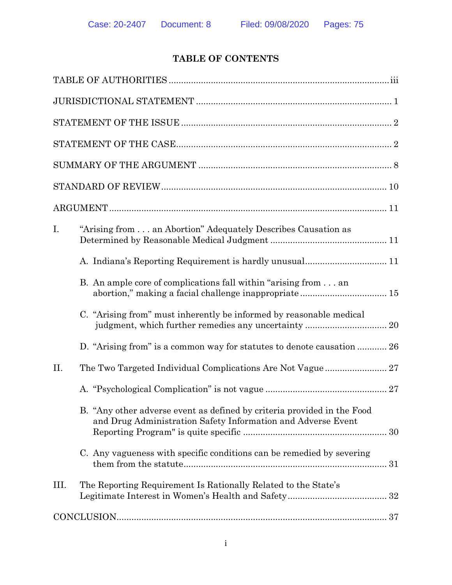# **TABLE OF CONTENTS**

| I.<br>"Arising from an Abortion" Adequately Describes Causation as                                                                      |
|-----------------------------------------------------------------------------------------------------------------------------------------|
|                                                                                                                                         |
| B. An ample core of complications fall within "arising from  an                                                                         |
| C. "Arising from" must inherently be informed by reasonable medical                                                                     |
| D. "Arising from" is a common way for statutes to denote causation  26                                                                  |
| II.                                                                                                                                     |
|                                                                                                                                         |
| B. "Any other adverse event as defined by criteria provided in the Food<br>and Drug Administration Safety Information and Adverse Event |
| C. Any vagueness with specific conditions can be remedied by severing                                                                   |
| III.<br>The Reporting Requirement Is Rationally Related to the State's                                                                  |
|                                                                                                                                         |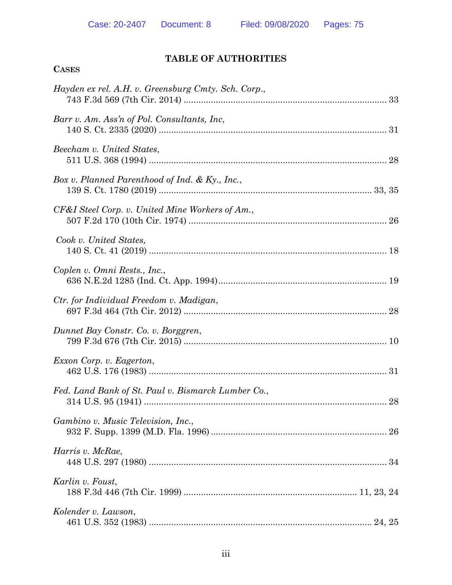**CASES**

# **TABLE OF AUTHORITIES**

| Hayden ex rel. A.H. v. Greensburg Cmty. Sch. Corp., |
|-----------------------------------------------------|
| Barr v. Am. Ass'n of Pol. Consultants, Inc.         |
| Beecham v. United States,                           |
| Box v. Planned Parenthood of Ind. & Ky., Inc.,      |
| CF&I Steel Corp. v. United Mine Workers of Am.,     |
| Cook v. United States,                              |
| Coplen v. Omni Rests., Inc.,                        |
| Ctr. for Individual Freedom v. Madigan,             |
| Dunnet Bay Constr. Co. v. Borggren,                 |
| Exxon Corp. v. Eagerton,                            |
| Fed. Land Bank of St. Paul v. Bismarck Lumber Co.,  |
| Gambino v. Music Television, Inc.,                  |
| Harris v. McRae,                                    |
| Karlin v. Foust,                                    |
| Kolender v. Lawson,                                 |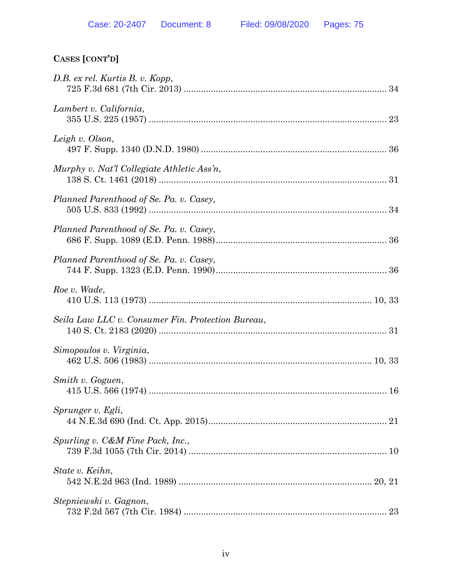| D.B. ex rel. Kurtis B. v. Kopp,                   |  |
|---------------------------------------------------|--|
| Lambert v. California,                            |  |
| Leigh v. Olson,                                   |  |
| Murphy v. Nat'l Collegiate Athletic Ass'n,        |  |
| Planned Parenthood of Se. Pa. v. Casey,           |  |
| Planned Parenthood of Se. Pa. v. Casey,           |  |
| Planned Parenthood of Se. Pa. v. Casey,           |  |
| Roe v. Wade,                                      |  |
| Seila Law LLC v. Consumer Fin. Protection Bureau, |  |
| Simopoulos v. Virginia,                           |  |
| Smith v. Goguen,                                  |  |
| Sprunger v. Egli,                                 |  |
| Spurling v. C&M Fine Pack, Inc.,                  |  |
| State v. Keihn,                                   |  |
| Stepniewski v. Gagnon,                            |  |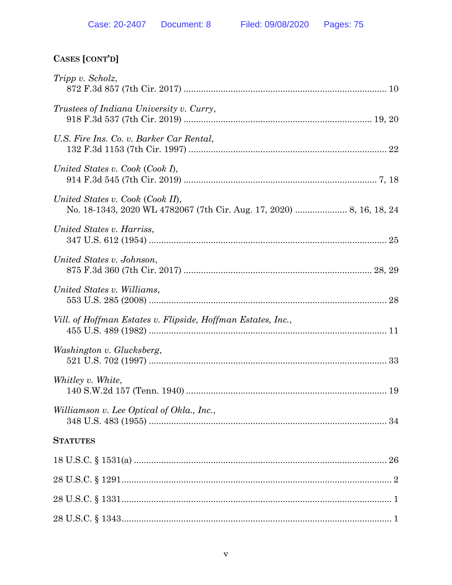| Tripp v. Scholz,                                             |
|--------------------------------------------------------------|
| <i>Trustees of Indiana University v. Curry,</i>              |
| U.S. Fire Ins. Co. v. Barker Car Rental,                     |
| United States v. Cook (Cook I),                              |
| United States v. Cook (Cook II),                             |
| United States v. Harriss,                                    |
| United States v. Johnson,                                    |
| United States v. Williams,                                   |
| Vill. of Hoffman Estates v. Flipside, Hoffman Estates, Inc., |
| Washington v. Glucksberg,                                    |
| Whitley v. White,                                            |
| Williamson v. Lee Optical of Okla., Inc.,                    |
| <b>STATUTES</b>                                              |
|                                                              |
|                                                              |
|                                                              |
|                                                              |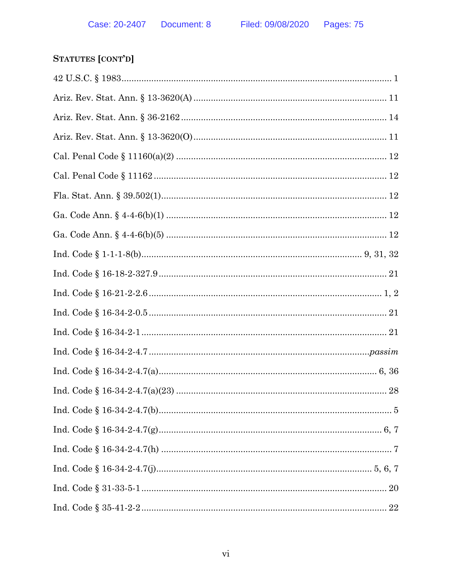| $\label{eq:Ind. Code 16-34-2-4.7} \mbox{Ind. Code § 16-34-2-4.7(a)} \mbox{}{\dots\,} \mbox{}{\dots\,} \mbox{}{\dots\,} \mbox{} \mbox{} \mbox{} \mbox{} \mbox{} \mbox{} \mbox{} \mbox{} \mbox{} \mbox{} \mbox{} \mbox{} \mbox{} \mbox{} \mbox{} \mbox{} \mbox{} \mbox{} \mbox{} \mbox{} \mbox{} \mbox{} \mbox{} \mbox{}$ |  |
|-------------------------------------------------------------------------------------------------------------------------------------------------------------------------------------------------------------------------------------------------------------------------------------------------------------------------|--|
|                                                                                                                                                                                                                                                                                                                         |  |
|                                                                                                                                                                                                                                                                                                                         |  |
|                                                                                                                                                                                                                                                                                                                         |  |
|                                                                                                                                                                                                                                                                                                                         |  |
|                                                                                                                                                                                                                                                                                                                         |  |
|                                                                                                                                                                                                                                                                                                                         |  |
|                                                                                                                                                                                                                                                                                                                         |  |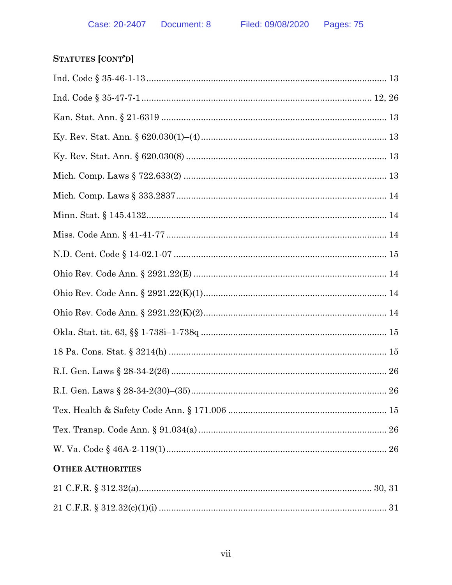# STATUTES [CONT'D]

| <b>OTHER AUTHORITIES</b> |
|--------------------------|
|                          |
|                          |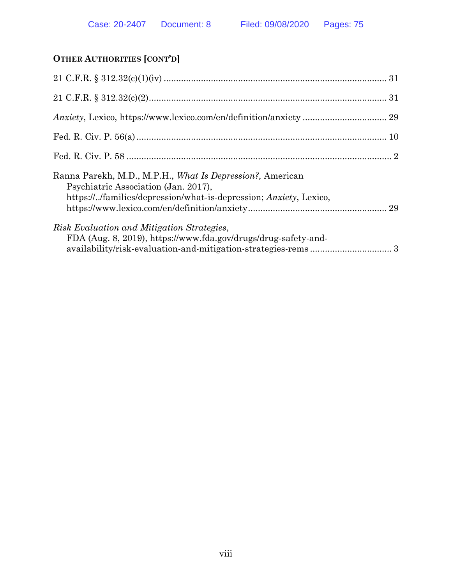# **OTHER AUTHORITIES [CONT'D]**

| Ranna Parekh, M.D., M.P.H., What Is Depression?, American<br>Psychiatric Association (Jan. 2017),<br>https:///families/depression/what-is-depression; Anxiety, Lexico, |  |
|------------------------------------------------------------------------------------------------------------------------------------------------------------------------|--|
| Risk Evaluation and Mitigation Strategies,<br>FDA (Aug. 8, 2019), https://www.fda.gov/drugs/drug-safety-and-                                                           |  |
|                                                                                                                                                                        |  |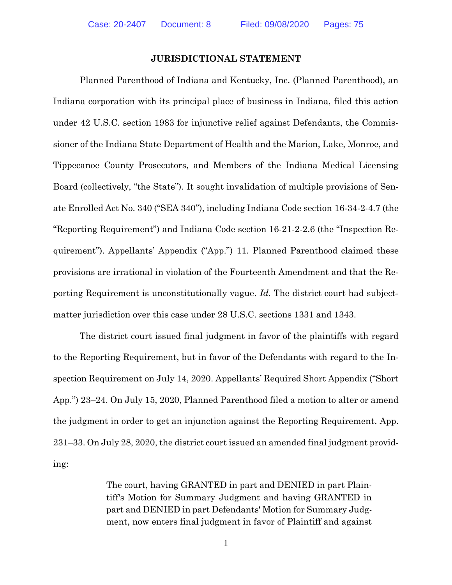#### <span id="page-9-2"></span>**JURISDICTIONAL STATEMENT**

<span id="page-9-1"></span>Planned Parenthood of Indiana and Kentucky, Inc. (Planned Parenthood), an Indiana corporation with its principal place of business in Indiana, filed this action under 42 U.S.C. section 1983 for injunctive relief against Defendants, the Commissioner of the Indiana State Department of Health and the Marion, Lake, Monroe, and Tippecanoe County Prosecutors, and Members of the Indiana Medical Licensing Board (collectively, "the State"). It sought invalidation of multiple provisions of Senate Enrolled Act No. 340 ("SEA 340"), including Indiana Code section 16-34-2-4.7 (the "Reporting Requirement") and Indiana Code section 16-21-2-2.6 (the "Inspection Requirement"). Appellants' Appendix ("App.") 11. Planned Parenthood claimed these provisions are irrational in violation of the Fourteenth Amendment and that the Reporting Requirement is unconstitutionally vague. *Id.* The district court had subjectmatter jurisdiction over this case under 28 U.S.C. sections 1331 and 1343.

<span id="page-9-0"></span>The district court issued final judgment in favor of the plaintiffs with regard to the Reporting Requirement, but in favor of the Defendants with regard to the Inspection Requirement on July 14, 2020. Appellants' Required Short Appendix ("Short App.") 23–24. On July 15, 2020, Planned Parenthood filed a motion to alter or amend the judgment in order to get an injunction against the Reporting Requirement. App. 231–33. On July 28, 2020, the district court issued an amended final judgment providing:

> The court, having GRANTED in part and DENIED in part Plaintiff's Motion for Summary Judgment and having GRANTED in part and DENIED in part Defendants' Motion for Summary Judgment, now enters final judgment in favor of Plaintiff and against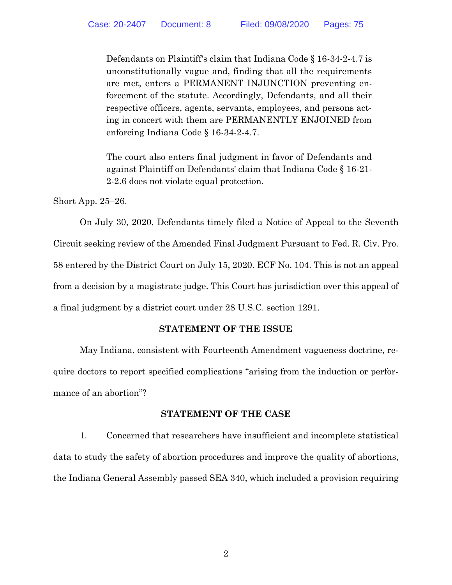Defendants on Plaintiff's claim that Indiana Code § 16-34-2-4.7 is unconstitutionally vague and, finding that all the requirements are met, enters a PERMANENT INJUNCTION preventing enforcement of the statute. Accordingly, Defendants, and all their respective officers, agents, servants, employees, and persons acting in concert with them are PERMANENTLY ENJOINED from enforcing Indiana Code § 16-34-2-4.7.

<span id="page-10-1"></span>The court also enters final judgment in favor of Defendants and against Plaintiff on Defendants' claim that Indiana Code § 16-21- 2-2.6 does not violate equal protection.

Short App. 25–26.

On July 30, 2020, Defendants timely filed a Notice of Appeal to the Seventh Circuit seeking review of the Amended Final Judgment Pursuant to Fed. R. Civ. Pro. 58 entered by the District Court on July 15, 2020. ECF No. 104. This is not an appeal from a decision by a magistrate judge. This Court has jurisdiction over this appeal of a final judgment by a district court under 28 U.S.C. section 1291.

## <span id="page-10-2"></span><span id="page-10-0"></span>**STATEMENT OF THE ISSUE**

May Indiana, consistent with Fourteenth Amendment vagueness doctrine, require doctors to report specified complications "arising from the induction or performance of an abortion"?

## **STATEMENT OF THE CASE**

1. Concerned that researchers have insufficient and incomplete statistical data to study the safety of abortion procedures and improve the quality of abortions, the Indiana General Assembly passed SEA 340, which included a provision requiring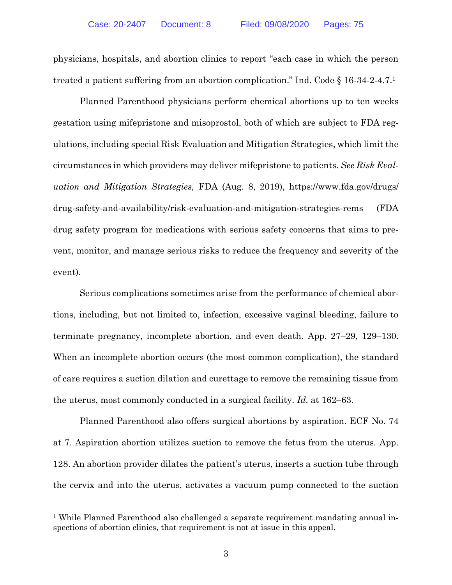physicians, hospitals, and abortion clinics to report "each case in which the person treated a patient suffering from an abortion complication." Ind. Code § 16-34-2-4.7. 1

<span id="page-11-0"></span>Planned Parenthood physicians perform chemical abortions up to ten weeks gestation using mifepristone and misoprostol, both of which are subject to FDA regulations, including special Risk Evaluation and Mitigation Strategies, which limit the circumstances in which providers may deliver mifepristone to patients. *See Risk Evaluation and Mitigation Strategies,* FDA (Aug. 8, 2019), [https://www.fda.gov/drugs/](https://www.fda.gov/drugs/drug-safety-and-availability/risk-evaluation-and-mitigation-strategies-rems) [drug-safety-and-availability/risk-evaluation-and-mitigation-strategies-rems](https://www.fda.gov/drugs/drug-safety-and-availability/risk-evaluation-and-mitigation-strategies-rems) (FDA drug safety program for medications with serious safety concerns that aims to prevent, monitor, and manage serious risks to reduce the frequency and severity of the event).

Serious complications sometimes arise from the performance of chemical abortions, including, but not limited to, infection, excessive vaginal bleeding, failure to terminate pregnancy, incomplete abortion, and even death. App. 27–29, 129–130. When an incomplete abortion occurs (the most common complication), the standard of care requires a suction dilation and curettage to remove the remaining tissue from the uterus, most commonly conducted in a surgical facility. *Id.* at 162–63.

Planned Parenthood also offers surgical abortions by aspiration. ECF No. 74 at 7. Aspiration abortion utilizes suction to remove the fetus from the uterus. App. 128. An abortion provider dilates the patient's uterus, inserts a suction tube through the cervix and into the uterus, activates a vacuum pump connected to the suction

 $\overline{a}$ 

<sup>&</sup>lt;sup>1</sup> While Planned Parenthood also challenged a separate requirement mandating annual inspections of abortion clinics, that requirement is not at issue in this appeal.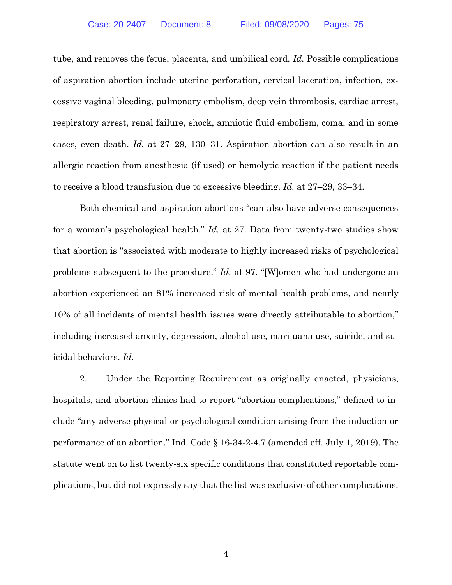tube, and removes the fetus, placenta, and umbilical cord. *Id.* Possible complications of aspiration abortion include uterine perforation, cervical laceration, infection, excessive vaginal bleeding, pulmonary embolism, deep vein thrombosis, cardiac arrest, respiratory arrest, renal failure, shock, amniotic fluid embolism, coma, and in some cases, even death. *Id.* at 27–29, 130–31. Aspiration abortion can also result in an allergic reaction from anesthesia (if used) or hemolytic reaction if the patient needs to receive a blood transfusion due to excessive bleeding. *Id.* at 27–29, 33–34.

Both chemical and aspiration abortions "can also have adverse consequences for a woman's psychological health." *Id.* at 27. Data from twenty-two studies show that abortion is "associated with moderate to highly increased risks of psychological problems subsequent to the procedure." *Id.* at 97. "[W]omen who had undergone an abortion experienced an 81% increased risk of mental health problems, and nearly 10% of all incidents of mental health issues were directly attributable to abortion," including increased anxiety, depression, alcohol use, marijuana use, suicide, and suicidal behaviors. *Id.* 

2. Under the Reporting Requirement as originally enacted, physicians, hospitals, and abortion clinics had to report "abortion complications," defined to include "any adverse physical or psychological condition arising from the induction or performance of an abortion." Ind. Code § 16-34-2-4.7 (amended eff. July 1, 2019). The statute went on to list twenty-six specific conditions that constituted reportable complications, but did not expressly say that the list was exclusive of other complications.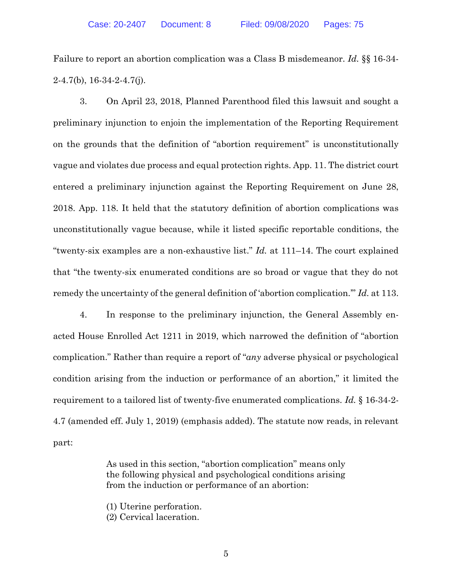<span id="page-13-0"></span>Failure to report an abortion complication was a Class B misdemeanor. *Id.* §§ 16-34-  $2-4.7(b)$ ,  $16-34-2-4.7(j)$ .

3. On April 23, 2018, Planned Parenthood filed this lawsuit and sought a preliminary injunction to enjoin the implementation of the Reporting Requirement on the grounds that the definition of "abortion requirement" is unconstitutionally vague and violates due process and equal protection rights. App. 11. The district court entered a preliminary injunction against the Reporting Requirement on June 28, 2018. App. 118. It held that the statutory definition of abortion complications was unconstitutionally vague because, while it listed specific reportable conditions, the "twenty-six examples are a non-exhaustive list." *Id.* at 111–14. The court explained that "the twenty-six enumerated conditions are so broad or vague that they do not remedy the uncertainty of the general definition of 'abortion complication.'" *Id.* at 113.

4. In response to the preliminary injunction, the General Assembly enacted House Enrolled Act 1211 in 2019, which narrowed the definition of "abortion complication." Rather than require a report of "*any* adverse physical or psychological condition arising from the induction or performance of an abortion," it limited the requirement to a tailored list of twenty-five enumerated complications. *Id.* § 16-34-2- 4.7 (amended eff. July 1, 2019) (emphasis added). The statute now reads, in relevant part:

> As used in this section, "abortion complication" means only the following physical and psychological conditions arising from the induction or performance of an abortion:

(1) Uterine perforation.

(2) Cervical laceration.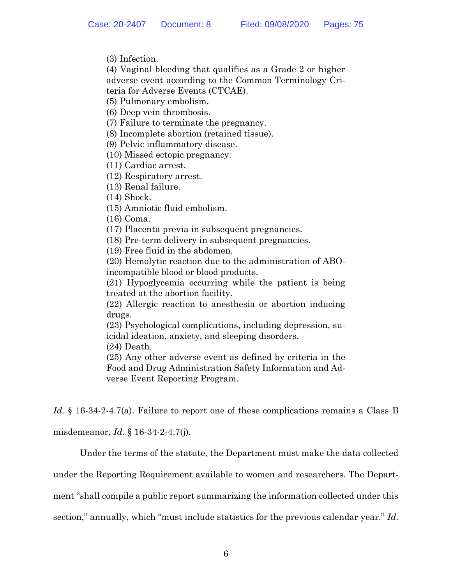(3) Infection.

(4) Vaginal bleeding that qualifies as a Grade 2 or higher adverse event according to the Common Terminology Criteria for Adverse Events (CTCAE).

(5) Pulmonary embolism.

(6) Deep vein thrombosis.

(7) Failure to terminate the pregnancy.

(8) Incomplete abortion (retained tissue).

(9) Pelvic inflammatory disease.

(10) Missed ectopic pregnancy.

(11) Cardiac arrest.

(12) Respiratory arrest.

(13) Renal failure.

(14) Shock.

(15) Amniotic fluid embolism.

(16) Coma.

(17) Placenta previa in subsequent pregnancies.

(18) Pre-term delivery in subsequent pregnancies.

(19) Free fluid in the abdomen.

(20) Hemolytic reaction due to the administration of ABOincompatible blood or blood products.

(21) Hypoglycemia occurring while the patient is being treated at the abortion facility.

(22) Allergic reaction to anesthesia or abortion inducing drugs.

(23) Psychological complications, including depression, suicidal ideation, anxiety, and sleeping disorders.

(24) Death.

(25) Any other adverse event as defined by criteria in the Food and Drug Administration Safety Information and Adverse Event Reporting Program.

<span id="page-14-0"></span>Id. § 16-34-2-4.7(a). Failure to report one of these complications remains a Class B

misdemeanor. *Id.* § 16-34-2-4.7(j).

<span id="page-14-2"></span><span id="page-14-1"></span>Under the terms of the statute, the Department must make the data collected

under the Reporting Requirement available to women and researchers. The Depart-

ment "shall compile a public report summarizing the information collected under this

section," annually, which "must include statistics for the previous calendar year." *Id.*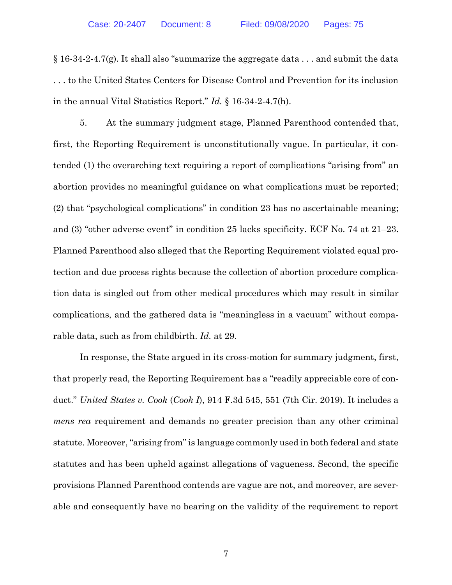$\S 16-34-2-4.7(g)$ . It shall also "summarize the aggregate data . . . and submit the data . . . to the United States Centers for Disease Control and Prevention for its inclusion in the annual Vital Statistics Report." *Id.* § 16-34-2-4.7(h).

<span id="page-15-1"></span>5. At the summary judgment stage, Planned Parenthood contended that, first, the Reporting Requirement is unconstitutionally vague. In particular, it contended (1) the overarching text requiring a report of complications "arising from" an abortion provides no meaningful guidance on what complications must be reported; (2) that "psychological complications" in condition 23 has no ascertainable meaning; and (3) "other adverse event" in condition 25 lacks specificity. ECF No. 74 at 21–23. Planned Parenthood also alleged that the Reporting Requirement violated equal protection and due process rights because the collection of abortion procedure complication data is singled out from other medical procedures which may result in similar complications, and the gathered data is "meaningless in a vacuum" without comparable data, such as from childbirth. *Id.* at 29.

<span id="page-15-0"></span>In response, the State argued in its cross-motion for summary judgment, first, that properly read, the Reporting Requirement has a "readily appreciable core of conduct." *United States v. Cook* (*Cook I*), 914 F.3d 545, 551 (7th Cir. 2019). It includes a *mens rea* requirement and demands no greater precision than any other criminal statute. Moreover, "arising from" is language commonly used in both federal and state statutes and has been upheld against allegations of vagueness. Second, the specific provisions Planned Parenthood contends are vague are not, and moreover, are severable and consequently have no bearing on the validity of the requirement to report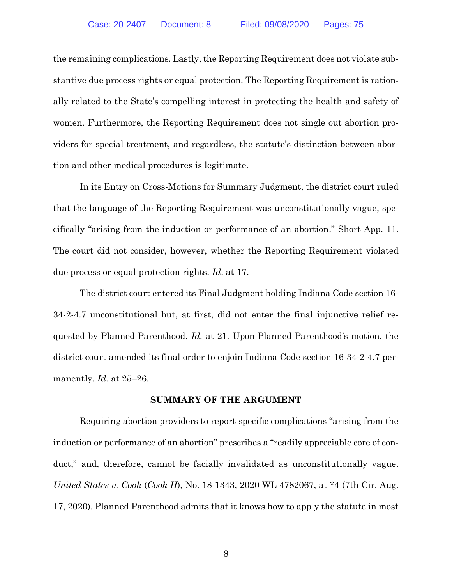the remaining complications. Lastly, the Reporting Requirement does not violate substantive due process rights or equal protection. The Reporting Requirement is rationally related to the State's compelling interest in protecting the health and safety of women. Furthermore, the Reporting Requirement does not single out abortion providers for special treatment, and regardless, the statute's distinction between abortion and other medical procedures is legitimate.

In its Entry on Cross-Motions for Summary Judgment, the district court ruled that the language of the Reporting Requirement was unconstitutionally vague, specifically "arising from the induction or performance of an abortion." Short App. 11. The court did not consider, however, whether the Reporting Requirement violated due process or equal protection rights. *Id*. at 17.

The district court entered its Final Judgment holding Indiana Code section 16- 34-2-4.7 unconstitutional but, at first, did not enter the final injunctive relief requested by Planned Parenthood. *Id.* at 21. Upon Planned Parenthood's motion, the district court amended its final order to enjoin Indiana Code section 16-34-2-4.7 permanently. *Id.* at 25–26.

#### **SUMMARY OF THE ARGUMENT**

<span id="page-16-0"></span>Requiring abortion providers to report specific complications "arising from the induction or performance of an abortion" prescribes a "readily appreciable core of conduct," and, therefore, cannot be facially invalidated as unconstitutionally vague. *United States v. Cook* (*Cook II*), No. 18-1343, 2020 WL 4782067, at \*4 (7th Cir. Aug. 17, 2020). Planned Parenthood admits that it knows how to apply the statute in most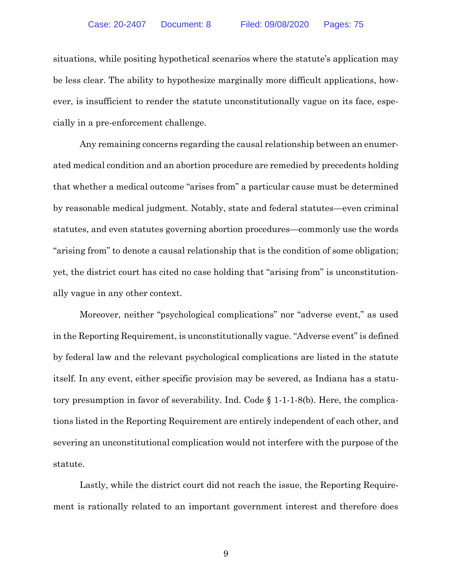situations, while positing hypothetical scenarios where the statute's application may be less clear. The ability to hypothesize marginally more difficult applications, however, is insufficient to render the statute unconstitutionally vague on its face, especially in a pre-enforcement challenge.

Any remaining concerns regarding the causal relationship between an enumerated medical condition and an abortion procedure are remedied by precedents holding that whether a medical outcome "arises from" a particular cause must be determined by reasonable medical judgment. Notably, state and federal statutes—even criminal statutes, and even statutes governing abortion procedures—commonly use the words "arising from" to denote a causal relationship that is the condition of some obligation; yet, the district court has cited no case holding that "arising from" is unconstitutionally vague in any other context.

<span id="page-17-0"></span>Moreover, neither "psychological complications" nor "adverse event," as used in the Reporting Requirement, is unconstitutionally vague. "Adverse event" is defined by federal law and the relevant psychological complications are listed in the statute itself*.* In any event, either specific provision may be severed, as Indiana has a statutory presumption in favor of severability. Ind. Code § 1-1-1-8(b). Here, the complications listed in the Reporting Requirement are entirely independent of each other, and severing an unconstitutional complication would not interfere with the purpose of the statute.

Lastly, while the district court did not reach the issue, the Reporting Requirement is rationally related to an important government interest and therefore does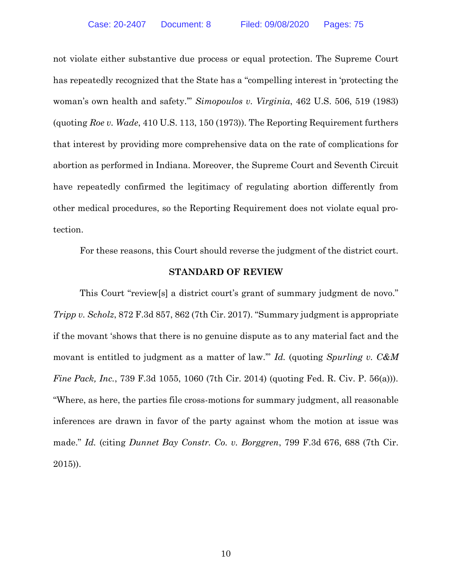<span id="page-18-1"></span>not violate either substantive due process or equal protection. The Supreme Court has repeatedly recognized that the State has a "compelling interest in 'protecting the woman's own health and safety.'" *Simopoulos v. Virginia*, 462 U.S. 506, 519 (1983) (quoting *Roe v. Wade*, 410 U.S. 113, 150 (1973)). The Reporting Requirement furthers that interest by providing more comprehensive data on the rate of complications for abortion as performed in Indiana. Moreover, the Supreme Court and Seventh Circuit have repeatedly confirmed the legitimacy of regulating abortion differently from other medical procedures, so the Reporting Requirement does not violate equal protection.

For these reasons, this Court should reverse the judgment of the district court.

#### <span id="page-18-4"></span><span id="page-18-2"></span>**STANDARD OF REVIEW**

<span id="page-18-3"></span><span id="page-18-0"></span>This Court "review[s] a district court's grant of summary judgment de novo." *Tripp v. Scholz*, 872 F.3d 857, 862 (7th Cir. 2017). "Summary judgment is appropriate if the movant 'shows that there is no genuine dispute as to any material fact and the movant is entitled to judgment as a matter of law.'" *Id.* (quoting *Spurling v. C&M Fine Pack, Inc.*, 739 F.3d 1055, 1060 (7th Cir. 2014) (quoting Fed. R. Civ. P. 56(a))). "Where, as here, the parties file cross-motions for summary judgment, all reasonable inferences are drawn in favor of the party against whom the motion at issue was made." *Id.* (citing *Dunnet Bay Constr. Co. v. Borggren*, 799 F.3d 676, 688 (7th Cir. 2015)).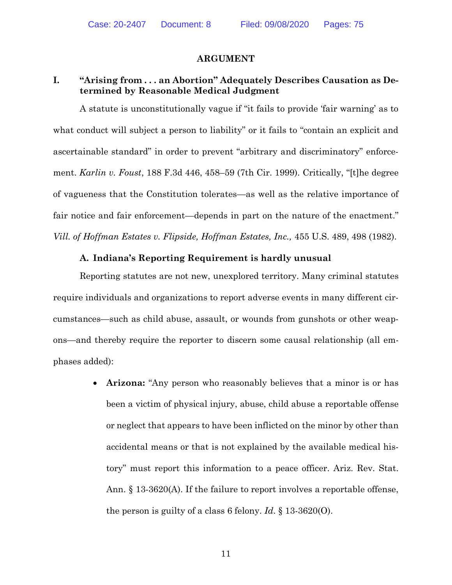#### **ARGUMENT**

## **I. "Arising from . . . an Abortion" Adequately Describes Causation as Determined by Reasonable Medical Judgment**

<span id="page-19-0"></span>A statute is unconstitutionally vague if "it fails to provide 'fair warning' as to what conduct will subject a person to liability" or it fails to "contain an explicit and ascertainable standard" in order to prevent "arbitrary and discriminatory" enforcement. *Karlin v. Foust*, 188 F.3d 446, 458–59 (7th Cir. 1999). Critically, "[t]he degree of vagueness that the Constitution tolerates—as well as the relative importance of fair notice and fair enforcement—depends in part on the nature of the enactment." *Vill. of Hoffman Estates v. Flipside, Hoffman Estates, Inc.,* 455 U.S. 489, 498 (1982).

#### <span id="page-19-1"></span>**A. Indiana's Reporting Requirement is hardly unusual**

Reporting statutes are not new, unexplored territory. Many criminal statutes require individuals and organizations to report adverse events in many different circumstances—such as child abuse, assault, or wounds from gunshots or other weapons—and thereby require the reporter to discern some causal relationship (all emphases added):

> <span id="page-19-3"></span><span id="page-19-2"></span> **Arizona:** "Any person who reasonably believes that a minor is or has been a victim of physical injury, abuse, child abuse a reportable offense or neglect that appears to have been inflicted on the minor by other than accidental means or that is not explained by the available medical history" must report this information to a peace officer. Ariz. Rev. Stat. Ann. § 13-3620(A). If the failure to report involves a reportable offense, the person is guilty of a class 6 felony. *Id*. § 13-3620(O).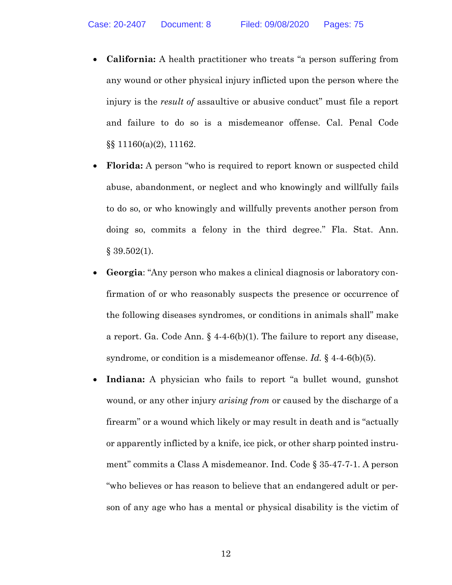- **California:** A health practitioner who treats "a person suffering from any wound or other physical injury inflicted upon the person where the injury is the *result of* assaultive or abusive conduct" must file a report and failure to do so is a misdemeanor offense. Cal. Penal Code §§ 11160(a)(2), 11162.
- <span id="page-20-0"></span> **Florida:** A person "who is required to report known or suspected child abuse, abandonment, or neglect and who knowingly and willfully fails to do so, or who knowingly and willfully prevents another person from doing so, commits a felony in the third degree." Fla. Stat. Ann.  $§ 39.502(1).$
- <span id="page-20-1"></span> **Georgia**: "Any person who makes a clinical diagnosis or laboratory confirmation of or who reasonably suspects the presence or occurrence of the following diseases syndromes, or conditions in animals shall" make a report. Ga. Code Ann. § 4-4-6(b)(1). The failure to report any disease, syndrome, or condition is a misdemeanor offense. *Id.* § 4-4-6(b)(5).
- <span id="page-20-4"></span><span id="page-20-3"></span><span id="page-20-2"></span> **Indiana:** A physician who fails to report "a bullet wound, gunshot wound, or any other injury *arising from* or caused by the discharge of a firearm" or a wound which likely or may result in death and is "actually or apparently inflicted by a knife, ice pick, or other sharp pointed instrument" commits a Class A misdemeanor. Ind. Code § 35-47-7-1. A person "who believes or has reason to believe that an endangered adult or person of any age who has a mental or physical disability is the victim of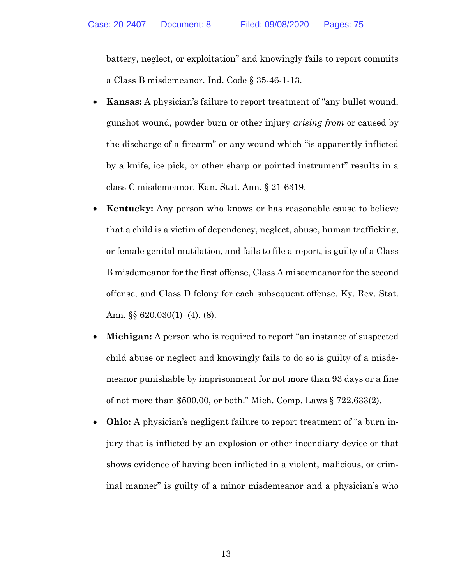<span id="page-21-0"></span>battery, neglect, or exploitation" and knowingly fails to report commits a Class B misdemeanor. Ind. Code § 35-46-1-13.

- **Kansas:** A physician's failure to report treatment of "any bullet wound, gunshot wound, powder burn or other injury *arising from* or caused by the discharge of a firearm" or any wound which "is apparently inflicted by a knife, ice pick, or other sharp or pointed instrument" results in a class C misdemeanor. Kan. Stat. Ann. § 21-6319.
- <span id="page-21-1"></span> **Kentucky:** Any person who knows or has reasonable cause to believe that a child is a victim of dependency, neglect, abuse, human trafficking, or female genital mutilation, and fails to file a report, is guilty of a Class B misdemeanor for the first offense, Class A misdemeanor for the second offense, and Class D felony for each subsequent offense. Ky. Rev. Stat. Ann. §§ 620.030(1)–(4), (8).
- <span id="page-21-2"></span> **Michigan:** A person who is required to report "an instance of suspected child abuse or neglect and knowingly fails to do so is guilty of a misdemeanor punishable by imprisonment for not more than 93 days or a fine of not more than \$500.00, or both." Mich. Comp. Laws § 722.633(2).
- <span id="page-21-3"></span> **Ohio:** A physician's negligent failure to report treatment of "a burn injury that is inflicted by an explosion or other incendiary device or that shows evidence of having been inflicted in a violent, malicious, or criminal manner" is guilty of a minor misdemeanor and a physician's who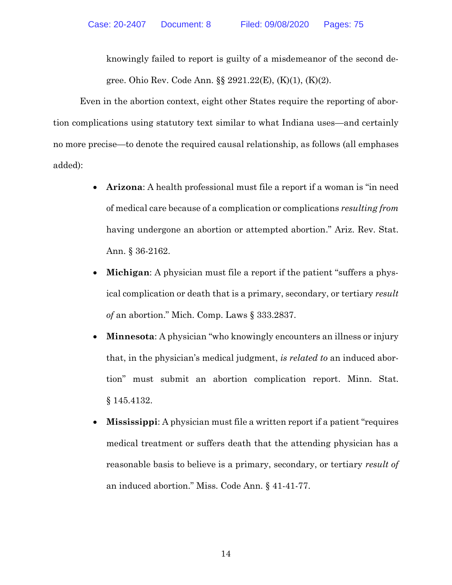<span id="page-22-4"></span>knowingly failed to report is guilty of a misdemeanor of the second degree. Ohio Rev. Code Ann. §§ 2921.22(E), (K)(1), (K)(2).

Even in the abortion context, eight other States require the reporting of abortion complications using statutory text similar to what Indiana uses—and certainly no more precise—to denote the required causal relationship, as follows (all emphases added):

- <span id="page-22-0"></span> **Arizona**: A health professional must file a report if a woman is "in need of medical care because of a complication or complications *resulting from* having undergone an abortion or attempted abortion." Ariz. Rev. Stat. Ann. § 36-2162.
- **Michigan**: A physician must file a report if the patient "suffers a physical complication or death that is a primary, secondary, or tertiary *result of* an abortion." Mich. Comp. Laws § 333.2837.
- <span id="page-22-1"></span> **Minnesota**: A physician "who knowingly encounters an illness or injury that, in the physician's medical judgment, *is related to* an induced abortion" must submit an abortion complication report. Minn. Stat. § 145.4132.
- **Mississippi**: A physician must file a written report if a patient "requires medical treatment or suffers death that the attending physician has a reasonable basis to believe is a primary, secondary, or tertiary *result of* an induced abortion." Miss. Code Ann. § 41-41-77.

<span id="page-22-3"></span><span id="page-22-2"></span>14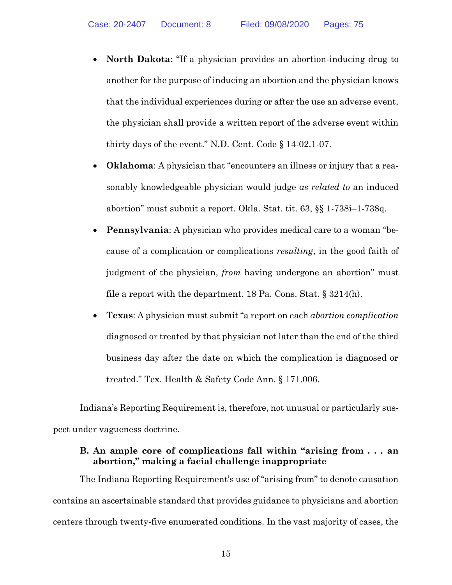- **North Dakota**: "If a physician provides an abortion-inducing drug to another for the purpose of inducing an abortion and the physician knows that the individual experiences during or after the use an adverse event, the physician shall provide a written report of the adverse event within thirty days of the event." N.D. Cent. Code § 14-02.1-07.
- <span id="page-23-0"></span> **Oklahoma**: A physician that "encounters an illness or injury that a reasonably knowledgeable physician would judge *as related to* an induced abortion" must submit a report. Okla. Stat. tit. 63, §§ 1-738i–1-738q.
- <span id="page-23-1"></span> **Pennsylvania**: A physician who provides medical care to a woman "because of a complication or complications *resulting*, in the good faith of judgment of the physician, *from* having undergone an abortion" must file a report with the department. 18 Pa. Cons. Stat.  $\S 3214(h)$ .
- <span id="page-23-3"></span><span id="page-23-2"></span> **Texas**: A physician must submit "a report on each *abortion complication* diagnosed or treated by that physician not later than the end of the third business day after the date on which the complication is diagnosed or treated." Tex. Health & Safety Code Ann. § 171.006.

Indiana's Reporting Requirement is, therefore, not unusual or particularly suspect under vagueness doctrine.

## **B. An ample core of complications fall within "arising from . . . an abortion," making a facial challenge inappropriate**

The Indiana Reporting Requirement's use of "arising from" to denote causation contains an ascertainable standard that provides guidance to physicians and abortion centers through twenty-five enumerated conditions. In the vast majority of cases, the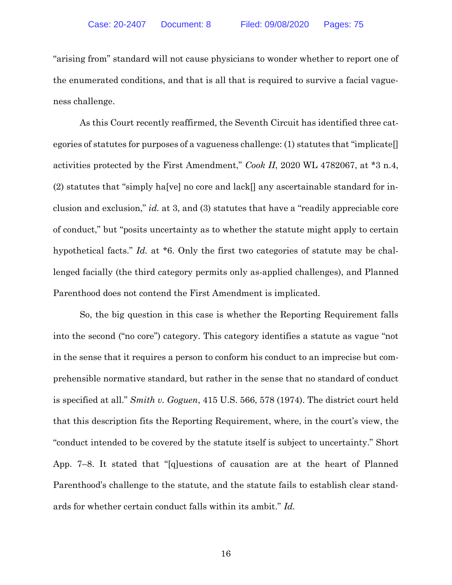"arising from" standard will not cause physicians to wonder whether to report one of the enumerated conditions, and that is all that is required to survive a facial vagueness challenge.

<span id="page-24-1"></span>As this Court recently reaffirmed, the Seventh Circuit has identified three categories of statutes for purposes of a vagueness challenge: (1) statutes that "implicate[] activities protected by the First Amendment," *Cook II*, 2020 WL 4782067, at \*3 n.4,  $(2)$  statutes that "simply ha[ve] no core and lack[] any ascertainable standard for inclusion and exclusion," *id.* at 3, and (3) statutes that have a "readily appreciable core of conduct," but "posits uncertainty as to whether the statute might apply to certain hypothetical facts." *Id.* at \*6. Only the first two categories of statute may be challenged facially (the third category permits only as-applied challenges), and Planned Parenthood does not contend the First Amendment is implicated.

<span id="page-24-0"></span>So, the big question in this case is whether the Reporting Requirement falls into the second ("no core") category. This category identifies a statute as vague "not in the sense that it requires a person to conform his conduct to an imprecise but comprehensible normative standard, but rather in the sense that no standard of conduct is specified at all." *Smith v. Goguen*, 415 U.S. 566, 578 (1974). The district court held that this description fits the Reporting Requirement, where, in the court's view, the "conduct intended to be covered by the statute itself is subject to uncertainty." Short App. 7–8. It stated that "[q]uestions of causation are at the heart of Planned Parenthood's challenge to the statute, and the statute fails to establish clear standards for whether certain conduct falls within its ambit." *Id.*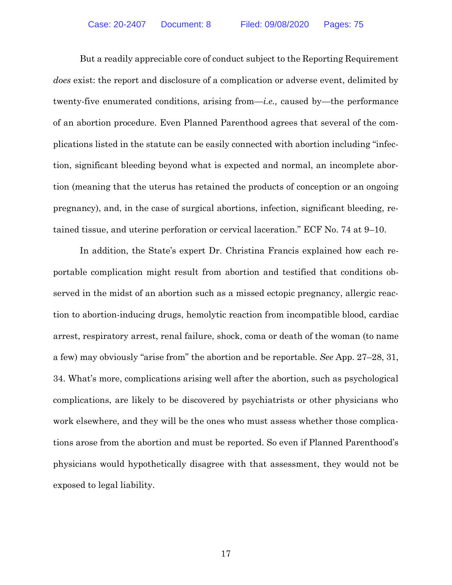But a readily appreciable core of conduct subject to the Reporting Requirement *does* exist: the report and disclosure of a complication or adverse event, delimited by twenty-five enumerated conditions, arising from—*i.e.,* caused by—the performance of an abortion procedure. Even Planned Parenthood agrees that several of the complications listed in the statute can be easily connected with abortion including "infection, significant bleeding beyond what is expected and normal, an incomplete abortion (meaning that the uterus has retained the products of conception or an ongoing pregnancy), and, in the case of surgical abortions, infection, significant bleeding, retained tissue, and uterine perforation or cervical laceration." ECF No. 74 at 9–10.

In addition, the State's expert Dr. Christina Francis explained how each reportable complication might result from abortion and testified that conditions observed in the midst of an abortion such as a missed ectopic pregnancy, allergic reaction to abortion-inducing drugs, hemolytic reaction from incompatible blood, cardiac arrest, respiratory arrest, renal failure, shock, coma or death of the woman (to name a few) may obviously "arise from" the abortion and be reportable. *See* App. 27–28, 31, 34. What's more, complications arising well after the abortion, such as psychological complications, are likely to be discovered by psychiatrists or other physicians who work elsewhere, and they will be the ones who must assess whether those complications arose from the abortion and must be reported. So even if Planned Parenthood's physicians would hypothetically disagree with that assessment, they would not be exposed to legal liability.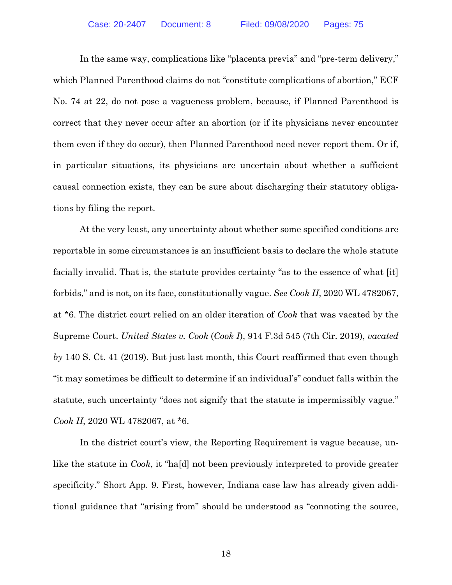In the same way, complications like "placenta previa" and "pre-term delivery," which Planned Parenthood claims do not "constitute complications of abortion," ECF No. 74 at 22, do not pose a vagueness problem, because, if Planned Parenthood is correct that they never occur after an abortion (or if its physicians never encounter them even if they do occur), then Planned Parenthood need never report them. Or if, in particular situations, its physicians are uncertain about whether a sufficient causal connection exists, they can be sure about discharging their statutory obligations by filing the report.

<span id="page-26-1"></span><span id="page-26-0"></span>At the very least, any uncertainty about whether some specified conditions are reportable in some circumstances is an insufficient basis to declare the whole statute facially invalid. That is, the statute provides certainty "as to the essence of what [it] forbids," and is not, on its face, constitutionally vague. *See Cook II*, 2020 WL 4782067, at \*6. The district court relied on an older iteration of *Cook* that was vacated by the Supreme Court. *United States v. Cook* (*Cook I*), 914 F.3d 545 (7th Cir. 2019), *vacated by* 140 S. Ct. 41 (2019). But just last month, this Court reaffirmed that even though "it may sometimes be difficult to determine if an individual's" conduct falls within the statute, such uncertainty "does not signify that the statute is impermissibly vague." *Cook II*, 2020 WL 4782067, at \*6.

In the district court's view, the Reporting Requirement is vague because, unlike the statute in *Cook*, it "ha[d] not been previously interpreted to provide greater specificity." Short App. 9. First, however, Indiana case law has already given additional guidance that "arising from" should be understood as "connoting the source,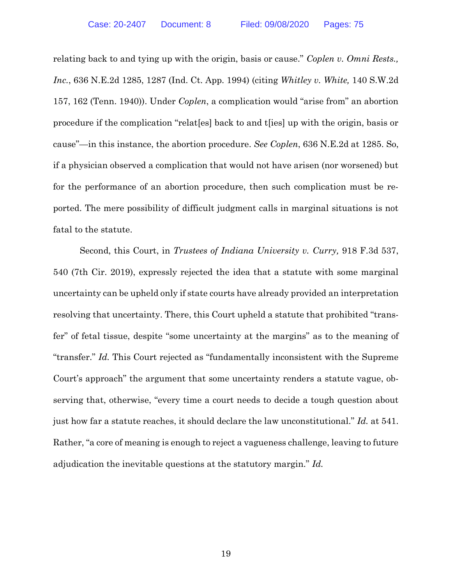<span id="page-27-2"></span><span id="page-27-0"></span>relating back to and tying up with the origin, basis or cause." *Coplen v. Omni Rests., Inc.*, 636 N.E.2d 1285, 1287 (Ind. Ct. App. 1994) (citing *Whitley v. White,* 140 S.W.2d 157, 162 (Tenn. 1940)). Under *Coplen*, a complication would "arise from" an abortion procedure if the complication "relat[es] back to and t[ies] up with the origin, basis or cause"—in this instance, the abortion procedure. *See Coplen*, 636 N.E.2d at 1285. So, if a physician observed a complication that would not have arisen (nor worsened) but for the performance of an abortion procedure, then such complication must be reported. The mere possibility of difficult judgment calls in marginal situations is not fatal to the statute.

<span id="page-27-1"></span>Second, this Court, in *Trustees of Indiana University v. Curry,* 918 F.3d 537, 540 (7th Cir. 2019), expressly rejected the idea that a statute with some marginal uncertainty can be upheld only if state courts have already provided an interpretation resolving that uncertainty. There, this Court upheld a statute that prohibited "transfer" of fetal tissue, despite "some uncertainty at the margins" as to the meaning of "transfer." *Id.* This Court rejected as "fundamentally inconsistent with the Supreme Court's approach" the argument that some uncertainty renders a statute vague, observing that, otherwise, "every time a court needs to decide a tough question about just how far a statute reaches, it should declare the law unconstitutional." *Id.* at 541. Rather, "a core of meaning is enough to reject a vagueness challenge, leaving to future adjudication the inevitable questions at the statutory margin." *Id.*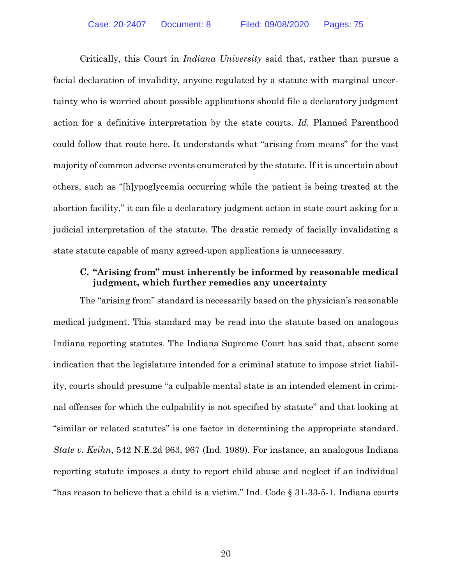<span id="page-28-1"></span>Critically, this Court in *Indiana University* said that, rather than pursue a facial declaration of invalidity, anyone regulated by a statute with marginal uncertainty who is worried about possible applications should file a declaratory judgment action for a definitive interpretation by the state courts. *Id.* Planned Parenthood could follow that route here. It understands what "arising from means" for the vast majority of common adverse events enumerated by the statute. If it is uncertain about others, such as "[h]ypoglycemia occurring while the patient is being treated at the abortion facility," it can file a declaratory judgment action in state court asking for a judicial interpretation of the statute. The drastic remedy of facially invalidating a state statute capable of many agreed-upon applications is unnecessary.

# **C. "Arising from" must inherently be informed by reasonable medical judgment, which further remedies any uncertainty**

<span id="page-28-2"></span><span id="page-28-0"></span>The "arising from" standard is necessarily based on the physician's reasonable medical judgment. This standard may be read into the statute based on analogous Indiana reporting statutes. The Indiana Supreme Court has said that, absent some indication that the legislature intended for a criminal statute to impose strict liability, courts should presume "a culpable mental state is an intended element in criminal offenses for which the culpability is not specified by statute" and that looking at "similar or related statutes" is one factor in determining the appropriate standard. *State v. Keihn*, 542 N.E.2d 963, 967 (Ind. 1989). For instance, an analogous Indiana reporting statute imposes a duty to report child abuse and neglect if an individual "has reason to believe that a child is a victim." Ind. Code § 31-33-5-1. Indiana courts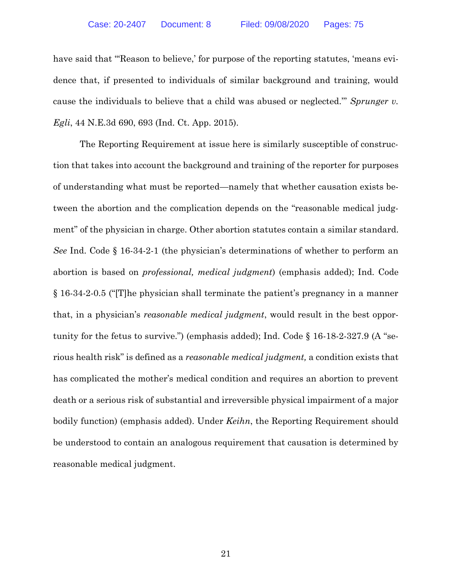<span id="page-29-0"></span>have said that "'Reason to believe,' for purpose of the reporting statutes, 'means evidence that, if presented to individuals of similar background and training, would cause the individuals to believe that a child was abused or neglected.'" *Sprunger v. Egli*, 44 N.E.3d 690, 693 (Ind. Ct. App. 2015).

<span id="page-29-4"></span><span id="page-29-3"></span><span id="page-29-2"></span><span id="page-29-1"></span>The Reporting Requirement at issue here is similarly susceptible of construction that takes into account the background and training of the reporter for purposes of understanding what must be reported—namely that whether causation exists between the abortion and the complication depends on the "reasonable medical judgment" of the physician in charge. Other abortion statutes contain a similar standard. *See* Ind. Code § 16-34-2-1 (the physician's determinations of whether to perform an abortion is based on *professional, medical judgment*) (emphasis added); Ind. Code § 16-34-2-0.5 ("[T]he physician shall terminate the patient's pregnancy in a manner that, in a physician's *reasonable medical judgment*, would result in the best opportunity for the fetus to survive.") (emphasis added); Ind. Code § 16-18-2-327.9 (A "serious health risk" is defined as a *reasonable medical judgment,* a condition exists that has complicated the mother's medical condition and requires an abortion to prevent death or a serious risk of substantial and irreversible physical impairment of a major bodily function) (emphasis added). Under *Keihn*, the Reporting Requirement should be understood to contain an analogous requirement that causation is determined by reasonable medical judgment.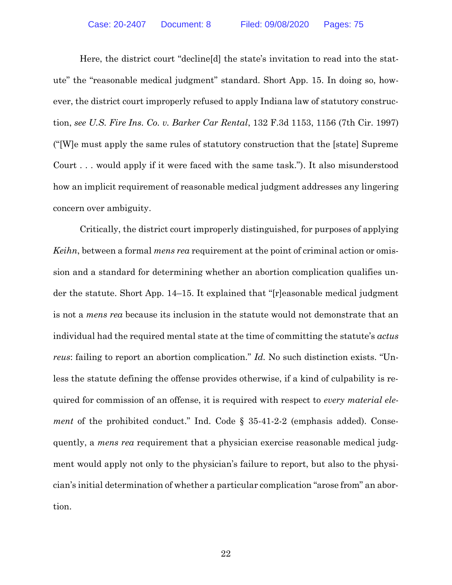<span id="page-30-0"></span>Here, the district court "decline[d] the state's invitation to read into the statute" the "reasonable medical judgment" standard. Short App. 15. In doing so, however, the district court improperly refused to apply Indiana law of statutory construction, *see U.S. Fire Ins. Co. v. Barker Car Rental*, 132 F.3d 1153, 1156 (7th Cir. 1997) ("[W]e must apply the same rules of statutory construction that the [state] Supreme Court . . . would apply if it were faced with the same task."). It also misunderstood how an implicit requirement of reasonable medical judgment addresses any lingering concern over ambiguity.

<span id="page-30-1"></span>Critically, the district court improperly distinguished, for purposes of applying *Keihn*, between a formal *mens rea* requirement at the point of criminal action or omission and a standard for determining whether an abortion complication qualifies under the statute. Short App. 14–15. It explained that "[r]easonable medical judgment is not a *mens rea* because its inclusion in the statute would not demonstrate that an individual had the required mental state at the time of committing the statute's *actus reus*: failing to report an abortion complication." *Id.* No such distinction exists. "Unless the statute defining the offense provides otherwise, if a kind of culpability is required for commission of an offense, it is required with respect to *every material element* of the prohibited conduct." Ind. Code § 35-41-2-2 (emphasis added). Consequently, a *mens rea* requirement that a physician exercise reasonable medical judgment would apply not only to the physician's failure to report, but also to the physician's initial determination of whether a particular complication "arose from" an abortion.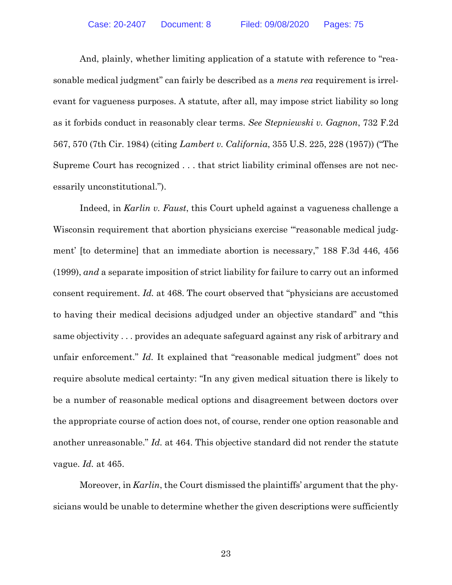<span id="page-31-2"></span>And, plainly, whether limiting application of a statute with reference to "reasonable medical judgment" can fairly be described as a *mens rea* requirement is irrelevant for vagueness purposes. A statute, after all, may impose strict liability so long as it forbids conduct in reasonably clear terms. *See Stepniewski v. Gagnon*, 732 F.2d 567, 570 (7th Cir. 1984) (citing *Lambert v. California*, 355 U.S. 225, 228 (1957)) ("The Supreme Court has recognized . . . that strict liability criminal offenses are not necessarily unconstitutional.").

<span id="page-31-1"></span>Indeed, in *Karlin v. Faust*, this Court upheld against a vagueness challenge a Wisconsin requirement that abortion physicians exercise "reasonable medical judgment' [to determine] that an immediate abortion is necessary," 188 F.3d 446, 456 (1999), *and* a separate imposition of strict liability for failure to carry out an informed consent requirement. *Id.* at 468. The court observed that "physicians are accustomed to having their medical decisions adjudged under an objective standard" and "this same objectivity . . . provides an adequate safeguard against any risk of arbitrary and unfair enforcement." *Id.* It explained that "reasonable medical judgment" does not require absolute medical certainty: "In any given medical situation there is likely to be a number of reasonable medical options and disagreement between doctors over the appropriate course of action does not, of course, render one option reasonable and another unreasonable." *Id.* at 464. This objective standard did not render the statute vague. *Id.* at 465.

<span id="page-31-0"></span>Moreover, in *Karlin*, the Court dismissed the plaintiffs' argument that the physicians would be unable to determine whether the given descriptions were sufficiently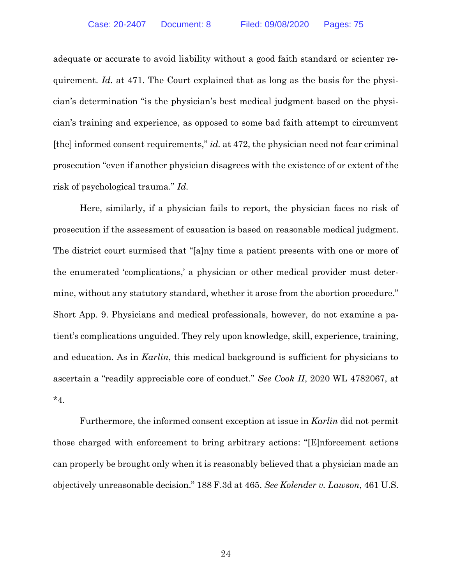adequate or accurate to avoid liability without a good faith standard or scienter requirement. *Id.* at 471. The Court explained that as long as the basis for the physician's determination "is the physician's best medical judgment based on the physician's training and experience, as opposed to some bad faith attempt to circumvent [the] informed consent requirements," *id.* at 472, the physician need not fear criminal prosecution "even if another physician disagrees with the existence of or extent of the risk of psychological trauma." *Id.*

Here, similarly, if a physician fails to report, the physician faces no risk of prosecution if the assessment of causation is based on reasonable medical judgment. The district court surmised that "[a]ny time a patient presents with one or more of the enumerated 'complications,' a physician or other medical provider must determine, without any statutory standard, whether it arose from the abortion procedure." Short App. 9. Physicians and medical professionals, however, do not examine a patient's complications unguided. They rely upon knowledge, skill, experience, training, and education. As in *Karlin*, this medical background is sufficient for physicians to ascertain a "readily appreciable core of conduct." *See Cook II*, 2020 WL 4782067, at \*4.

Furthermore, the informed consent exception at issue in *Karlin* did not permit those charged with enforcement to bring arbitrary actions: "[E]nforcement actions can properly be brought only when it is reasonably believed that a physician made an objectively unreasonable decision." 188 F.3d at 465. *See Kolender v. Lawson*, 461 U.S.

<span id="page-32-1"></span><span id="page-32-0"></span>24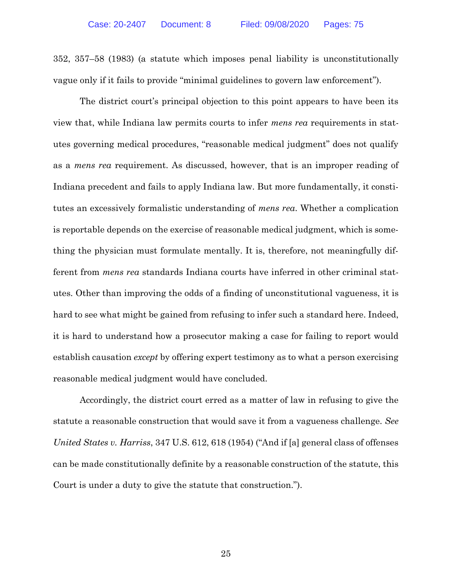352, 357–58 (1983) (a statute which imposes penal liability is unconstitutionally vague only if it fails to provide "minimal guidelines to govern law enforcement").

The district court's principal objection to this point appears to have been its view that, while Indiana law permits courts to infer *mens rea* requirements in statutes governing medical procedures, "reasonable medical judgment" does not qualify as a *mens rea* requirement. As discussed, however, that is an improper reading of Indiana precedent and fails to apply Indiana law. But more fundamentally, it constitutes an excessively formalistic understanding of *mens rea*. Whether a complication is reportable depends on the exercise of reasonable medical judgment, which is something the physician must formulate mentally. It is, therefore, not meaningfully different from *mens rea* standards Indiana courts have inferred in other criminal statutes. Other than improving the odds of a finding of unconstitutional vagueness, it is hard to see what might be gained from refusing to infer such a standard here. Indeed, it is hard to understand how a prosecutor making a case for failing to report would establish causation *except* by offering expert testimony as to what a person exercising reasonable medical judgment would have concluded.

<span id="page-33-0"></span>Accordingly, the district court erred as a matter of law in refusing to give the statute a reasonable construction that would save it from a vagueness challenge. *See United States v. Harriss*, 347 U.S. 612, 618 (1954) ("And if [a] general class of offenses can be made constitutionally definite by a reasonable construction of the statute, this Court is under a duty to give the statute that construction.").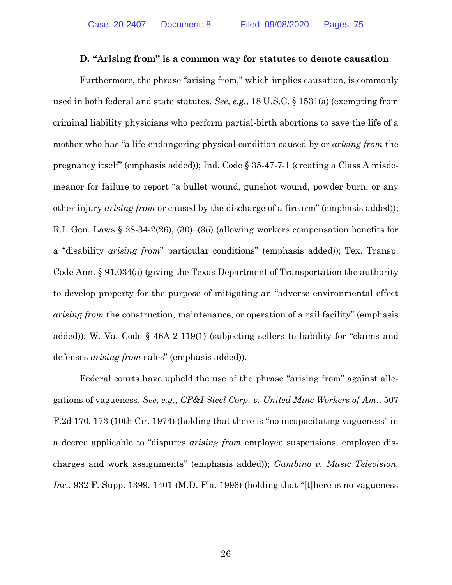#### <span id="page-34-3"></span><span id="page-34-2"></span>**D. "Arising from" is a common way for statutes to denote causation**

<span id="page-34-4"></span>Furthermore, the phrase "arising from," which implies causation, is commonly used in both federal and state statutes. *See, e.g.*, 18 U.S.C. § 1531(a) (exempting from criminal liability physicians who perform partial-birth abortions to save the life of a mother who has "a life-endangering physical condition caused by or *arising from* the pregnancy itself" (emphasis added)); Ind. Code § 35-47-7-1 (creating a Class A misdemeanor for failure to report "a bullet wound, gunshot wound, powder burn, or any other injury *arising from* or caused by the discharge of a firearm" (emphasis added)); R.I. Gen. Laws § 28-34-2(26), (30)–(35) (allowing workers compensation benefits for a "disability *arising from*" particular conditions" (emphasis added)); Tex. Transp. Code Ann. § 91.034(a) (giving the Texas Department of Transportation the authority to develop property for the purpose of mitigating an "adverse environmental effect *arising from* the construction, maintenance, or operation of a rail facility" (emphasis added)); W. Va. Code  $\S$  46A-2-119(1) (subjecting sellers to liability for "claims and defenses *arising from* sales" (emphasis added)).

<span id="page-34-6"></span><span id="page-34-5"></span><span id="page-34-1"></span><span id="page-34-0"></span>Federal courts have upheld the use of the phrase "arising from" against allegations of vagueness. *See, e.g.*, *CF&I Steel Corp. v. United Mine Workers of Am.*, 507 F.2d 170, 173 (10th Cir. 1974) (holding that there is "no incapacitating vagueness" in a decree applicable to "disputes *arising from* employee suspensions, employee discharges and work assignments" (emphasis added)); *Gambino v. Music Television, Inc.*, 932 F. Supp. 1399, 1401 (M.D. Fla. 1996) (holding that "[t] here is no vagueness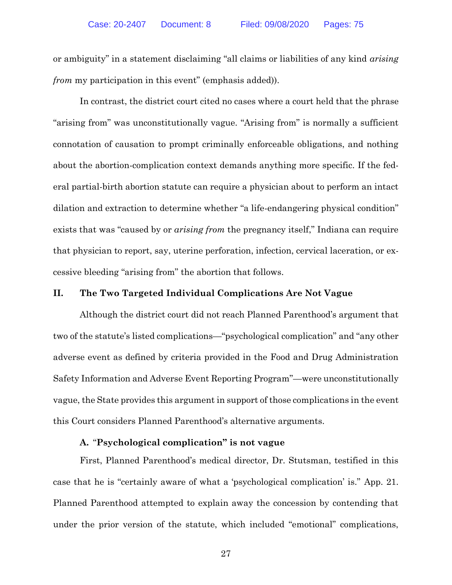or ambiguity" in a statement disclaiming "all claims or liabilities of any kind *arising from* my participation in this event" (emphasis added)).

In contrast, the district court cited no cases where a court held that the phrase "arising from" was unconstitutionally vague. "Arising from" is normally a sufficient connotation of causation to prompt criminally enforceable obligations, and nothing about the abortion-complication context demands anything more specific. If the federal partial-birth abortion statute can require a physician about to perform an intact dilation and extraction to determine whether "a life-endangering physical condition" exists that was "caused by or *arising from* the pregnancy itself," Indiana can require that physician to report, say, uterine perforation, infection, cervical laceration, or excessive bleeding "arising from" the abortion that follows.

#### **II. The Two Targeted Individual Complications Are Not Vague**

Although the district court did not reach Planned Parenthood's argument that two of the statute's listed complications—"psychological complication" and "any other adverse event as defined by criteria provided in the Food and Drug Administration Safety Information and Adverse Event Reporting Program"—were unconstitutionally vague, the State provides this argument in support of those complications in the event this Court considers Planned Parenthood's alternative arguments.

#### **A.** "**Psychological complication" is not vague**

First, Planned Parenthood's medical director, Dr. Stutsman, testified in this case that he is "certainly aware of what a 'psychological complication' is." App. 21. Planned Parenthood attempted to explain away the concession by contending that under the prior version of the statute, which included "emotional" complications,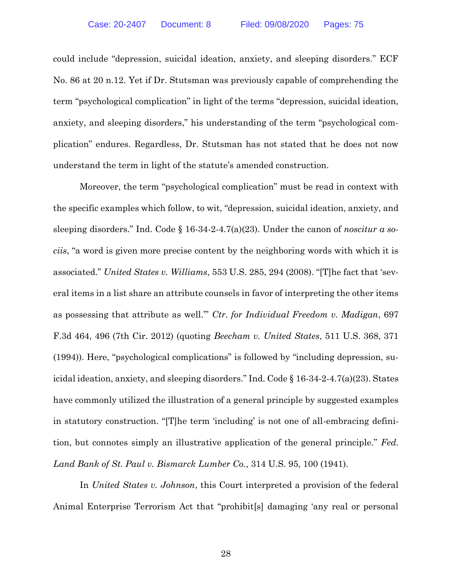could include "depression, suicidal ideation, anxiety, and sleeping disorders." ECF No. 86 at 20 n.12. Yet if Dr. Stutsman was previously capable of comprehending the term "psychological complication" in light of the terms "depression, suicidal ideation, anxiety, and sleeping disorders," his understanding of the term "psychological complication" endures. Regardless, Dr. Stutsman has not stated that he does not now understand the term in light of the statute's amended construction.

Moreover, the term "psychological complication" must be read in context with the specific examples which follow, to wit, "depression, suicidal ideation, anxiety, and sleeping disorders." Ind. Code § 16-34-2-4.7(a)(23). Under the canon of *noscitur a sociis*, "a word is given more precise content by the neighboring words with which it is associated." *United States v. Williams*, 553 U.S. 285, 294 (2008). "[T]he fact that 'several items in a list share an attribute counsels in favor of interpreting the other items as possessing that attribute as well.'" *Ctr. for Individual Freedom v. Madigan*, 697 F.3d 464, 496 (7th Cir. 2012) (quoting *Beecham v. United States*, 511 U.S. 368, 371 (1994)). Here, "psychological complications" is followed by "including depression, suicidal ideation, anxiety, and sleeping disorders." Ind. Code § 16-34-2-4.7(a)(23). States have commonly utilized the illustration of a general principle by suggested examples in statutory construction. "[T]he term 'including' is not one of all-embracing definition, but connotes simply an illustrative application of the general principle." *Fed. Land Bank of St. Paul v. Bismarck Lumber Co.*, 314 U.S. 95, 100 (1941).

In *United States v. Johnson*, this Court interpreted a provision of the federal Animal Enterprise Terrorism Act that "prohibit[s] damaging 'any real or personal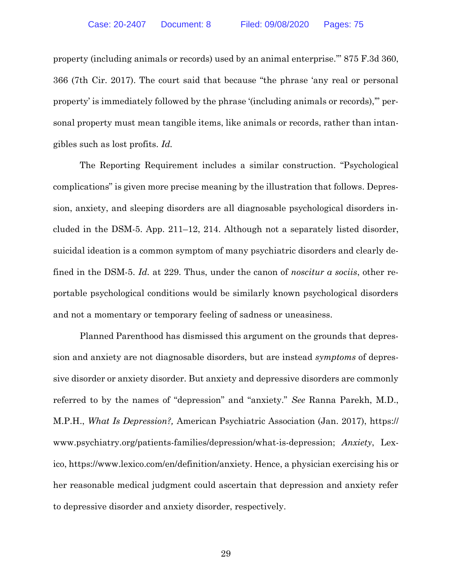property (including animals or records) used by an animal enterprise.'" 875 F.3d 360, 366 (7th Cir. 2017). The court said that because "the phrase 'any real or personal property' is immediately followed by the phrase '(including animals or records),'" personal property must mean tangible items, like animals or records, rather than intangibles such as lost profits. *Id.*

The Reporting Requirement includes a similar construction. "Psychological complications" is given more precise meaning by the illustration that follows. Depression, anxiety, and sleeping disorders are all diagnosable psychological disorders included in the DSM-5. App. 211–12, 214. Although not a separately listed disorder, suicidal ideation is a common symptom of many psychiatric disorders and clearly defined in the DSM-5. *Id.* at 229. Thus, under the canon of *noscitur a sociis*, other reportable psychological conditions would be similarly known psychological disorders and not a momentary or temporary feeling of sadness or uneasiness.

Planned Parenthood has dismissed this argument on the grounds that depression and anxiety are not diagnosable disorders, but are instead *symptoms* of depressive disorder or anxiety disorder. But anxiety and depressive disorders are commonly referred to by the names of "depression" and "anxiety." *See* Ranna Parekh, M.D., M.P.H., *What Is Depression?,* American Psychiatric Association (Jan. 2017), [https://](https://www.psychiatry.org/‌patients-families/depression/what-is-depression) [www.psychiatry.org/patients-families/depression/what-is-depression;](https://www.psychiatry.org/‌patients-families/depression/what-is-depression) *Anxiety*, Lexico, [https://www.lexico.com/en/definition/anxiety.](https://www.lexico.com/en/definition/anxiety) Hence, a physician exercising his or her reasonable medical judgment could ascertain that depression and anxiety refer to depressive disorder and anxiety disorder, respectively.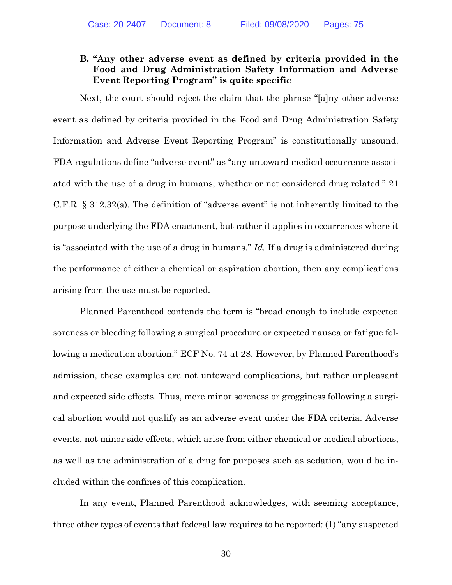## **B. "Any other adverse event as defined by criteria provided in the Food and Drug Administration Safety Information and Adverse Event Reporting Program" is quite specific**

Next, the court should reject the claim that the phrase "[a]ny other adverse event as defined by criteria provided in the Food and Drug Administration Safety Information and Adverse Event Reporting Program" is constitutionally unsound. FDA regulations define "adverse event" as "any untoward medical occurrence associated with the use of a drug in humans, whether or not considered drug related." 21 C.F.R. § 312.32(a). The definition of "adverse event" is not inherently limited to the purpose underlying the FDA enactment, but rather it applies in occurrences where it is "associated with the use of a drug in humans." *Id.* If a drug is administered during the performance of either a chemical or aspiration abortion, then any complications arising from the use must be reported.

Planned Parenthood contends the term is "broad enough to include expected soreness or bleeding following a surgical procedure or expected nausea or fatigue following a medication abortion." ECF No. 74 at 28. However, by Planned Parenthood's admission, these examples are not untoward complications, but rather unpleasant and expected side effects. Thus, mere minor soreness or grogginess following a surgical abortion would not qualify as an adverse event under the FDA criteria. Adverse events, not minor side effects, which arise from either chemical or medical abortions, as well as the administration of a drug for purposes such as sedation, would be included within the confines of this complication.

In any event, Planned Parenthood acknowledges, with seeming acceptance, three other types of events that federal law requires to be reported: (1) "any suspected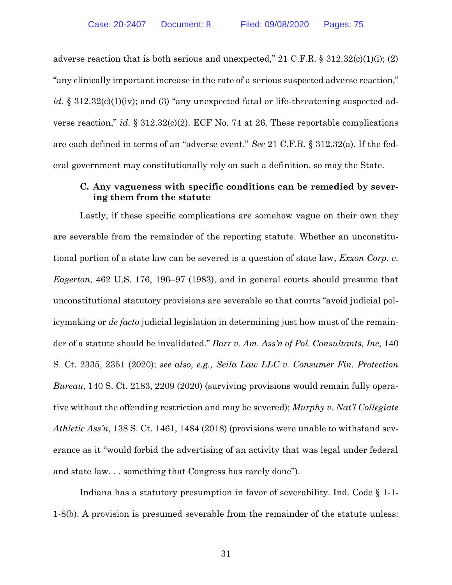adverse reaction that is both serious and unexpected," 21 C.F.R.  $\S 312.32(c)(1)(i)$ ; (2) "any clinically important increase in the rate of a serious suspected adverse reaction," *id.* § 312.32(c)(1)(iv); and (3) "any unexpected fatal or life-threatening suspected adverse reaction," *id*. § 312.32(c)(2). ECF No. 74 at 26. These reportable complications are each defined in terms of an "adverse event." *See* 21 C.F.R. § 312.32(a). If the federal government may constitutionally rely on such a definition, so may the State.

## **C. Any vagueness with specific conditions can be remedied by severing them from the statute**

Lastly, if these specific complications are somehow vague on their own they are severable from the remainder of the reporting statute. Whether an unconstitutional portion of a state law can be severed is a question of state law, *Exxon Corp. v. Eagerton*, 462 U.S. 176, 196–97 (1983), and in general courts should presume that unconstitutional statutory provisions are severable so that courts "avoid judicial policymaking or *de facto* judicial legislation in determining just how must of the remainder of a statute should be invalidated." *Barr v. Am. Ass'n of Pol. Consultants, Inc,* 140 S. Ct. 2335, 2351 (2020); *see also, e.g., Seila Law LLC v. Consumer Fin. Protection Bureau*, 140 S. Ct. 2183, 2209 (2020) (surviving provisions would remain fully operative without the offending restriction and may be severed); *Murphy v. Nat'l Collegiate Athletic Ass'n*, 138 S. Ct. 1461, 1484 (2018) (provisions were unable to withstand severance as it "would forbid the advertising of an activity that was legal under federal and state law. . . something that Congress has rarely done").

Indiana has a statutory presumption in favor of severability. Ind. Code § 1-1- 1-8(b). A provision is presumed severable from the remainder of the statute unless: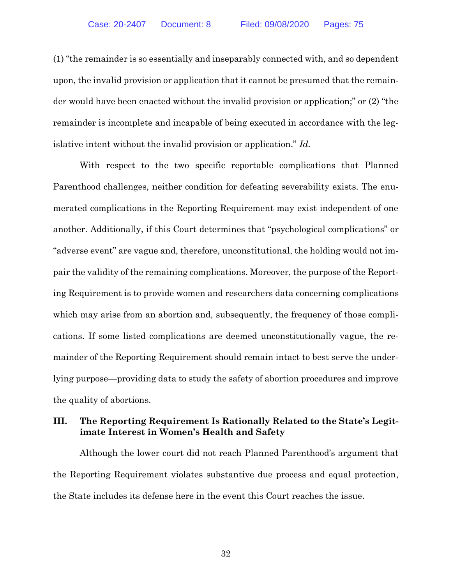(1) "the remainder is so essentially and inseparably connected with, and so dependent upon, the invalid provision or application that it cannot be presumed that the remainder would have been enacted without the invalid provision or application;" or (2) "the remainder is incomplete and incapable of being executed in accordance with the legislative intent without the invalid provision or application." *Id.* 

With respect to the two specific reportable complications that Planned Parenthood challenges, neither condition for defeating severability exists. The enumerated complications in the Reporting Requirement may exist independent of one another. Additionally, if this Court determines that "psychological complications" or "adverse event" are vague and, therefore, unconstitutional, the holding would not impair the validity of the remaining complications. Moreover, the purpose of the Reporting Requirement is to provide women and researchers data concerning complications which may arise from an abortion and, subsequently, the frequency of those complications. If some listed complications are deemed unconstitutionally vague, the remainder of the Reporting Requirement should remain intact to best serve the underlying purpose—providing data to study the safety of abortion procedures and improve the quality of abortions.

## **III. The Reporting Requirement Is Rationally Related to the State's Legitimate Interest in Women's Health and Safety**

Although the lower court did not reach Planned Parenthood's argument that the Reporting Requirement violates substantive due process and equal protection, the State includes its defense here in the event this Court reaches the issue.

32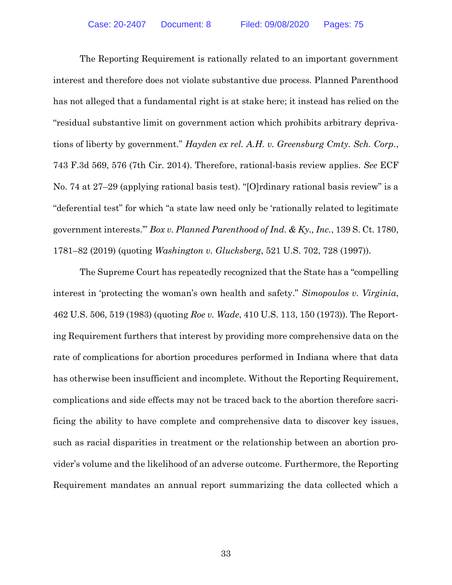The Reporting Requirement is rationally related to an important government interest and therefore does not violate substantive due process. Planned Parenthood has not alleged that a fundamental right is at stake here; it instead has relied on the "residual substantive limit on government action which prohibits arbitrary deprivations of liberty by government." *Hayden ex rel. A.H. v. Greensburg Cmty. Sch. Corp*., 743 F.3d 569, 576 (7th Cir. 2014). Therefore, rational-basis review applies. *See* ECF No. 74 at 27–29 (applying rational basis test). "[O]rdinary rational basis review" is a "deferential test" for which "a state law need only be 'rationally related to legitimate government interests.'" *Box v. Planned Parenthood of Ind. & Ky., Inc.*, 139 S. Ct. 1780, 1781–82 (2019) (quoting *Washington v. Glucksberg*, 521 U.S. 702, 728 (1997)).

The Supreme Court has repeatedly recognized that the State has a "compelling interest in 'protecting the woman's own health and safety." *Simopoulos v. Virginia*, 462 U.S. 506, 519 (1983) (quoting *Roe v. Wade*, 410 U.S. 113, 150 (1973)). The Reporting Requirement furthers that interest by providing more comprehensive data on the rate of complications for abortion procedures performed in Indiana where that data has otherwise been insufficient and incomplete. Without the Reporting Requirement, complications and side effects may not be traced back to the abortion therefore sacrificing the ability to have complete and comprehensive data to discover key issues, such as racial disparities in treatment or the relationship between an abortion provider's volume and the likelihood of an adverse outcome. Furthermore, the Reporting Requirement mandates an annual report summarizing the data collected which a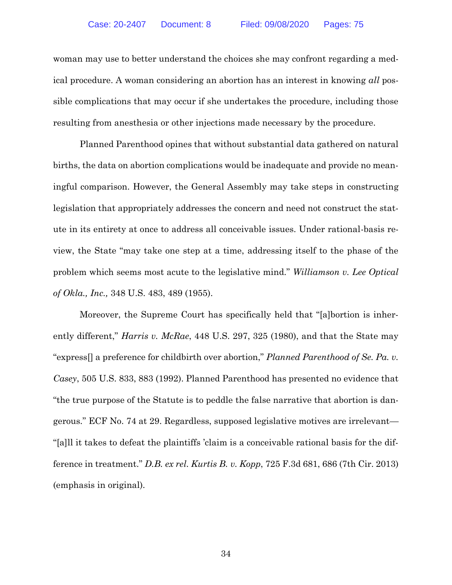woman may use to better understand the choices she may confront regarding a medical procedure. A woman considering an abortion has an interest in knowing *all* possible complications that may occur if she undertakes the procedure, including those resulting from anesthesia or other injections made necessary by the procedure.

Planned Parenthood opines that without substantial data gathered on natural births, the data on abortion complications would be inadequate and provide no meaningful comparison. However, the General Assembly may take steps in constructing legislation that appropriately addresses the concern and need not construct the statute in its entirety at once to address all conceivable issues. Under rational-basis review, the State "may take one step at a time, addressing itself to the phase of the problem which seems most acute to the legislative mind." *Williamson v. Lee Optical of Okla., Inc.,* 348 U.S. 483, 489 (1955).

Moreover, the Supreme Court has specifically held that "[a]bortion is inherently different," *Harris v. McRae*, 448 U.S. 297, 325 (1980), and that the State may "express[] a preference for childbirth over abortion," *Planned Parenthood of Se. Pa. v. Casey*, 505 U.S. 833, 883 (1992). Planned Parenthood has presented no evidence that "the true purpose of the Statute is to peddle the false narrative that abortion is dangerous." ECF No. 74 at 29. Regardless, supposed legislative motives are irrelevant— "[a]ll it takes to defeat the plaintiffs 'claim is a conceivable rational basis for the difference in treatment." *D.B. ex rel. Kurtis B. v. Kopp*, 725 F.3d 681, 686 (7th Cir. 2013) (emphasis in original).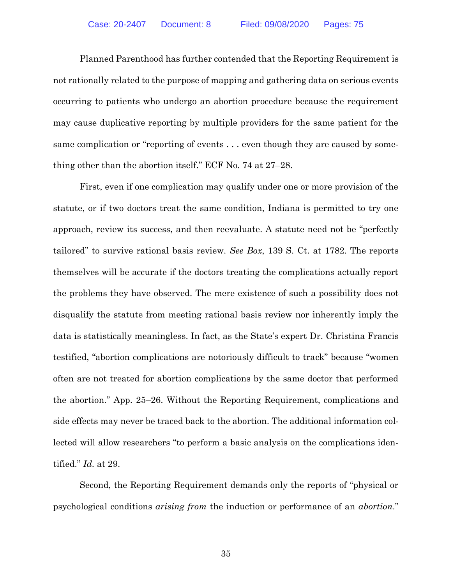Planned Parenthood has further contended that the Reporting Requirement is not rationally related to the purpose of mapping and gathering data on serious events occurring to patients who undergo an abortion procedure because the requirement may cause duplicative reporting by multiple providers for the same patient for the same complication or "reporting of events . . . even though they are caused by something other than the abortion itself." ECF No. 74 at 27–28.

First, even if one complication may qualify under one or more provision of the statute, or if two doctors treat the same condition, Indiana is permitted to try one approach, review its success, and then reevaluate. A statute need not be "perfectly tailored" to survive rational basis review. *See Box*, 139 S. Ct. at 1782. The reports themselves will be accurate if the doctors treating the complications actually report the problems they have observed. The mere existence of such a possibility does not disqualify the statute from meeting rational basis review nor inherently imply the data is statistically meaningless. In fact, as the State's expert Dr. Christina Francis testified, "abortion complications are notoriously difficult to track" because "women often are not treated for abortion complications by the same doctor that performed the abortion." App. 25–26. Without the Reporting Requirement, complications and side effects may never be traced back to the abortion. The additional information collected will allow researchers "to perform a basic analysis on the complications identified." *Id.* at 29.

Second, the Reporting Requirement demands only the reports of "physical or psychological conditions *arising from* the induction or performance of an *abortion*."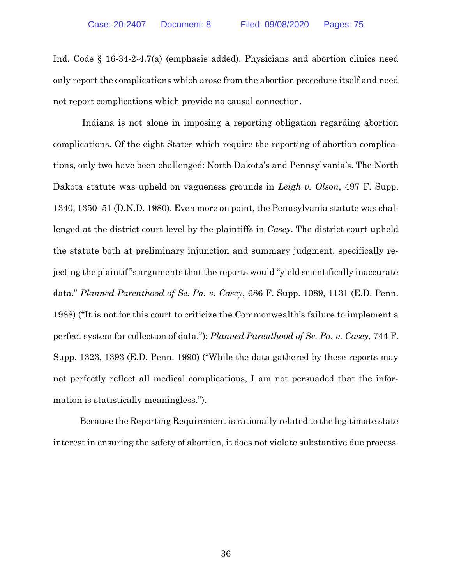Ind. Code § 16-34-2-4.7(a) (emphasis added). Physicians and abortion clinics need only report the complications which arose from the abortion procedure itself and need not report complications which provide no causal connection.

Indiana is not alone in imposing a reporting obligation regarding abortion complications. Of the eight States which require the reporting of abortion complications, only two have been challenged: North Dakota's and Pennsylvania's. The North Dakota statute was upheld on vagueness grounds in *Leigh v. Olson*, 497 F. Supp. 1340, 1350–51 (D.N.D. 1980). Even more on point, the Pennsylvania statute was challenged at the district court level by the plaintiffs in *Casey*. The district court upheld the statute both at preliminary injunction and summary judgment, specifically rejecting the plaintiff's arguments that the reports would "yield scientifically inaccurate data." *Planned Parenthood of Se. Pa. v. Casey*, 686 F. Supp. 1089, 1131 (E.D. Penn. 1988) ("It is not for this court to criticize the Commonwealth's failure to implement a perfect system for collection of data."); *Planned Parenthood of Se. Pa. v. Casey*, 744 F. Supp. 1323, 1393 (E.D. Penn. 1990) ("While the data gathered by these reports may not perfectly reflect all medical complications, I am not persuaded that the information is statistically meaningless.").

Because the Reporting Requirement is rationally related to the legitimate state interest in ensuring the safety of abortion, it does not violate substantive due process.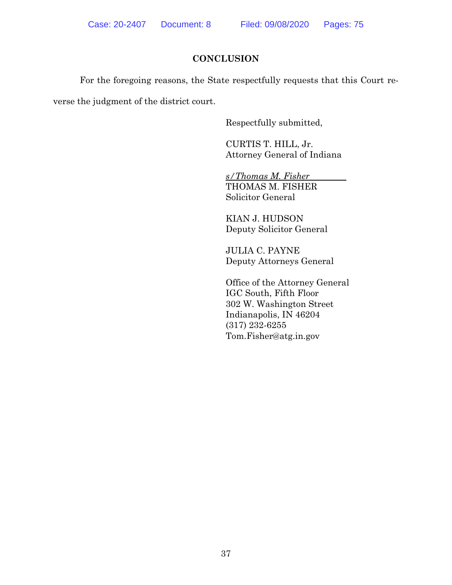# **CONCLUSION**

For the foregoing reasons, the State respectfully requests that this Court re-

verse the judgment of the district court.

Respectfully submitted,

CURTIS T. HILL, Jr. Attorney General of Indiana

*s/Thomas M. Fisher* THOMAS M. FISHER Solicitor General

KIAN J. HUDSON Deputy Solicitor General

JULIA C. PAYNE Deputy Attorneys General

Office of the Attorney General IGC South, Fifth Floor 302 W. Washington Street Indianapolis, IN 46204 (317) 232-6255 Tom.Fisher@atg.in.gov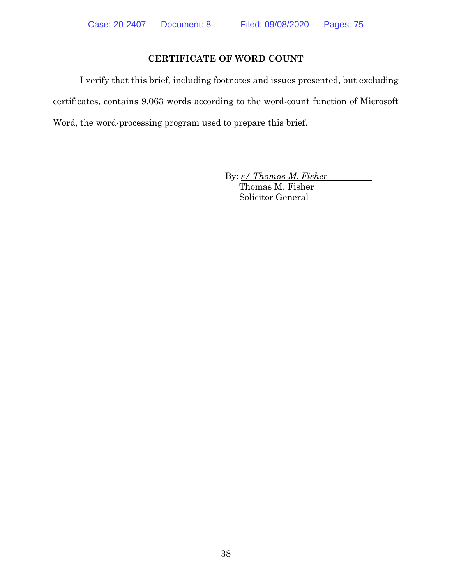# **CERTIFICATE OF WORD COUNT**

I verify that this brief, including footnotes and issues presented, but excluding certificates, contains 9,063 words according to the word-count function of Microsoft Word, the word-processing program used to prepare this brief.

By: *s/ Thomas M. Fisher*

Thomas M. Fisher Solicitor General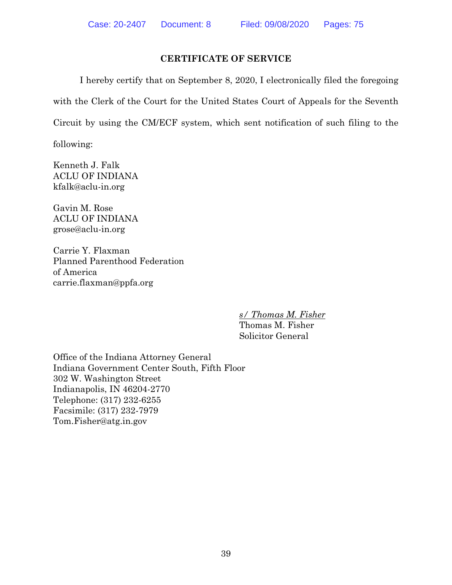# **CERTIFICATE OF SERVICE**

I hereby certify that on September 8, 2020, I electronically filed the foregoing with the Clerk of the Court for the United States Court of Appeals for the Seventh Circuit by using the CM/ECF system, which sent notification of such filing to the

following:

Kenneth J. Falk ACLU OF INDIANA [kfalk@aclu-in.org](mailto:kfalk@aclu-in.org)

Gavin M. Rose ACLU OF INDIANA grose@aclu-in.org

Carrie Y. Flaxman Planned Parenthood Federation of America [carrie.flaxman@ppfa.org](mailto:carrie.flaxman@ppfa.org)

*s/ Thomas M. Fisher*

Thomas M. Fisher Solicitor General

Office of the Indiana Attorney General Indiana Government Center South, Fifth Floor 302 W. Washington Street Indianapolis, IN 46204-2770 Telephone: (317) 232-6255 Facsimile: (317) 232-7979 Tom.Fisher@atg.in.gov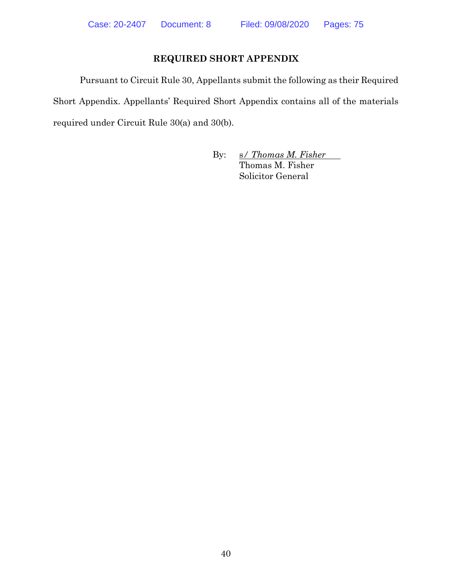# **REQUIRED SHORT APPENDIX**

Pursuant to Circuit Rule 30, Appellants submit the following as their Required Short Appendix. Appellants' Required Short Appendix contains all of the materials required under Circuit Rule 30(a) and 30(b).

> By: s/ *Thomas M. Fisher* Thomas M. Fisher Solicitor General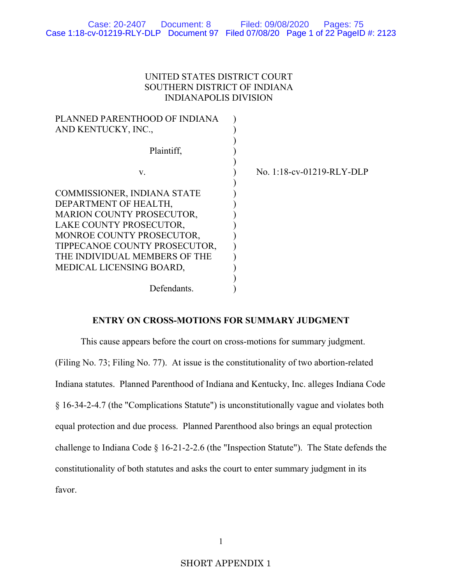## UNITED STATES DISTRICT COURT SOUTHERN DISTRICT OF INDIANA INDIANAPOLIS DIVISION

| PLANNED PARENTHOOD OF INDIANA<br>AND KENTUCKY, INC.,                                                                                                                                                                                           |                              |
|------------------------------------------------------------------------------------------------------------------------------------------------------------------------------------------------------------------------------------------------|------------------------------|
| Plaintiff,                                                                                                                                                                                                                                     |                              |
| V.                                                                                                                                                                                                                                             | No. $1:18$ -cv-01219-RLY-DLP |
| COMMISSIONER, INDIANA STATE<br>DEPARTMENT OF HEALTH,<br><b>MARION COUNTY PROSECUTOR,</b><br>LAKE COUNTY PROSECUTOR,<br>MONROE COUNTY PROSECUTOR,<br>TIPPECANOE COUNTY PROSECUTOR,<br>THE INDIVIDUAL MEMBERS OF THE<br>MEDICAL LICENSING BOARD, |                              |
| Defendants.                                                                                                                                                                                                                                    |                              |

## **ENTRY ON CROSS-MOTIONS FOR SUMMARY JUDGMENT**

This cause appears before the court on cross-motions for summary judgment. (Filing No. 73; Filing No. 77). At issue is the constitutionality of two abortion-related Indiana statutes. Planned Parenthood of Indiana and Kentucky, Inc. alleges Indiana Code § 16-34-2-4.7 (the "Complications Statute") is unconstitutionally vague and violates both equal protection and due process. Planned Parenthood also brings an equal protection challenge to Indiana Code § 16-21-2-2.6 (the "Inspection Statute"). The State defends the constitutionality of both statutes and asks the court to enter summary judgment in its favor.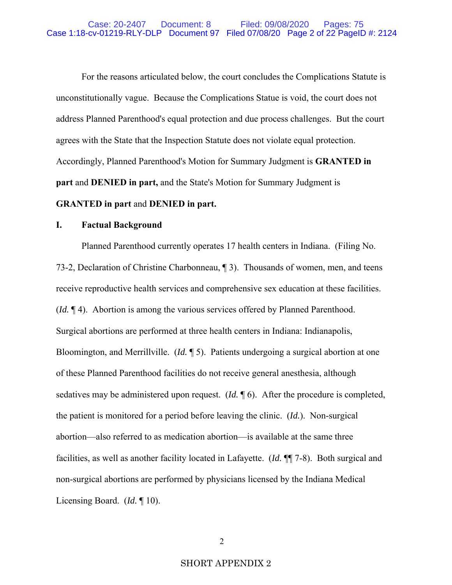For the reasons articulated below, the court concludes the Complications Statute is unconstitutionally vague. Because the Complications Statue is void, the court does not address Planned Parenthood's equal protection and due process challenges. But the court agrees with the State that the Inspection Statute does not violate equal protection. Accordingly, Planned Parenthood's Motion for Summary Judgment is **GRANTED in part** and **DENIED in part,** and the State's Motion for Summary Judgment is **GRANTED in part** and **DENIED in part.** 

## **I. Factual Background**

Planned Parenthood currently operates 17 health centers in Indiana. (Filing No. 73-2, Declaration of Christine Charbonneau, ¶ 3). Thousands of women, men, and teens receive reproductive health services and comprehensive sex education at these facilities. (*Id.* ¶ 4). Abortion is among the various services offered by Planned Parenthood. Surgical abortions are performed at three health centers in Indiana: Indianapolis, Bloomington, and Merrillville. (*Id.* ¶ 5). Patients undergoing a surgical abortion at one of these Planned Parenthood facilities do not receive general anesthesia, although sedatives may be administered upon request. (*Id.* ¶ 6). After the procedure is completed, the patient is monitored for a period before leaving the clinic. (*Id.*). Non-surgical abortion—also referred to as medication abortion—is available at the same three facilities, as well as another facility located in Lafayette. (*Id.* ¶¶ 7-8). Both surgical and non-surgical abortions are performed by physicians licensed by the Indiana Medical Licensing Board. (*Id.* ¶ 10).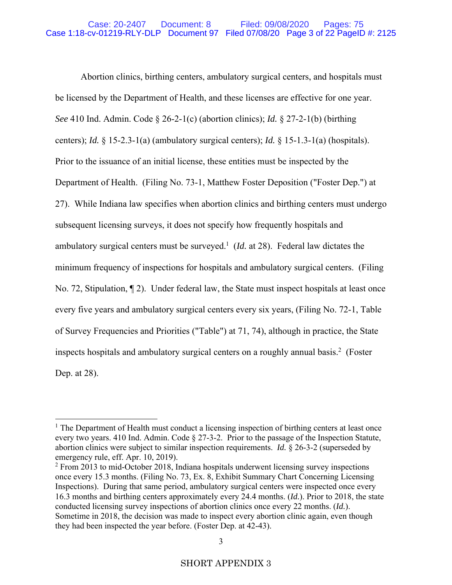Abortion clinics, birthing centers, ambulatory surgical centers, and hospitals must be licensed by the Department of Health, and these licenses are effective for one year. *See* 410 Ind. Admin. Code § 26-2-1(c) (abortion clinics); *Id.* § 27-2-1(b) (birthing centers); *Id.* § 15-2.3-1(a) (ambulatory surgical centers); *Id.* § 15-1.3-1(a) (hospitals). Prior to the issuance of an initial license, these entities must be inspected by the Department of Health. (Filing No. 73-1, Matthew Foster Deposition ("Foster Dep.") at 27). While Indiana law specifies when abortion clinics and birthing centers must undergo subsequent licensing surveys, it does not specify how frequently hospitals and ambulatory surgical centers must be surveyed.<sup>1</sup> ( $Id$ . at 28). Federal law dictates the minimum frequency of inspections for hospitals and ambulatory surgical centers. (Filing No. 72, Stipulation, ¶ 2). Under federal law, the State must inspect hospitals at least once every five years and ambulatory surgical centers every six years, (Filing No. 72-1, Table of Survey Frequencies and Priorities ("Table") at 71, 74), although in practice, the State inspects hospitals and ambulatory surgical centers on a roughly annual basis.<sup>2</sup> (Foster Dep. at 28).

<sup>&</sup>lt;sup>1</sup> The Department of Health must conduct a licensing inspection of birthing centers at least once every two years. 410 Ind. Admin. Code § 27-3-2. Prior to the passage of the Inspection Statute, abortion clinics were subject to similar inspection requirements. *Id.* § 26-3-2 (superseded by emergency rule, eff. Apr. 10, 2019).

<sup>&</sup>lt;sup>2</sup> From 2013 to mid-October 2018, Indiana hospitals underwent licensing survey inspections once every 15.3 months. (Filing No. 73, Ex. 8, Exhibit Summary Chart Concerning Licensing Inspections). During that same period, ambulatory surgical centers were inspected once every 16.3 months and birthing centers approximately every 24.4 months. (*Id.*). Prior to 2018, the state conducted licensing survey inspections of abortion clinics once every 22 months. (*Id.*). Sometime in 2018, the decision was made to inspect every abortion clinic again, even though they had been inspected the year before. (Foster Dep. at 42-43).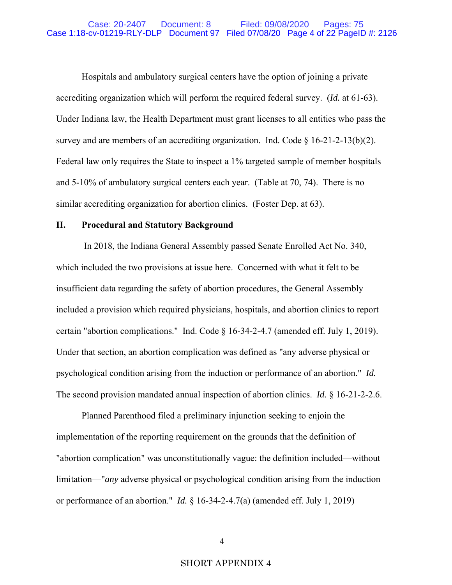Hospitals and ambulatory surgical centers have the option of joining a private accrediting organization which will perform the required federal survey. (*Id.* at 61-63). Under Indiana law, the Health Department must grant licenses to all entities who pass the survey and are members of an accrediting organization. Ind. Code  $\S$  16-21-2-13(b)(2). Federal law only requires the State to inspect a 1% targeted sample of member hospitals and 5-10% of ambulatory surgical centers each year. (Table at 70, 74). There is no similar accrediting organization for abortion clinics. (Foster Dep. at 63).

### **II. Procedural and Statutory Background**

 In 2018, the Indiana General Assembly passed Senate Enrolled Act No. 340, which included the two provisions at issue here. Concerned with what it felt to be insufficient data regarding the safety of abortion procedures, the General Assembly included a provision which required physicians, hospitals, and abortion clinics to report certain "abortion complications." Ind. Code § 16-34-2-4.7 (amended eff. July 1, 2019). Under that section, an abortion complication was defined as "any adverse physical or psychological condition arising from the induction or performance of an abortion." *Id.* The second provision mandated annual inspection of abortion clinics. *Id.* § 16-21-2-2.6.

Planned Parenthood filed a preliminary injunction seeking to enjoin the implementation of the reporting requirement on the grounds that the definition of "abortion complication" was unconstitutionally vague: the definition included—without limitation—"*any* adverse physical or psychological condition arising from the induction or performance of an abortion." *Id.* § 16-34-2-4.7(a) (amended eff. July 1, 2019)

## SHORT APPENDIX 4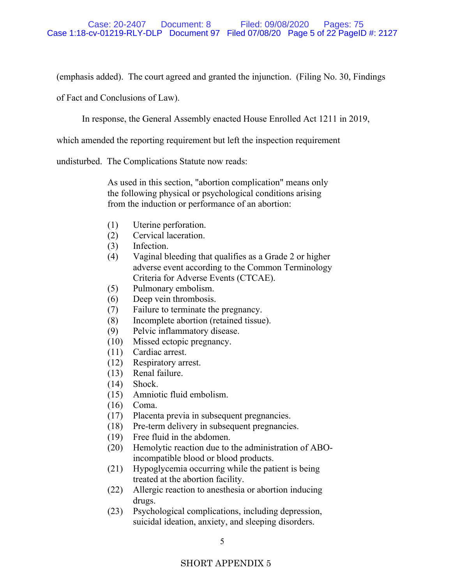(emphasis added). The court agreed and granted the injunction. (Filing No. 30, Findings

of Fact and Conclusions of Law).

In response, the General Assembly enacted House Enrolled Act 1211 in 2019,

which amended the reporting requirement but left the inspection requirement

undisturbed. The Complications Statute now reads:

As used in this section, "abortion complication" means only the following physical or psychological conditions arising from the induction or performance of an abortion:

- (1) Uterine perforation.
- (2) Cervical laceration.
- (3) Infection.
- (4) Vaginal bleeding that qualifies as a Grade 2 or higher adverse event according to the Common Terminology Criteria for Adverse Events (CTCAE).
- (5) Pulmonary embolism.
- (6) Deep vein thrombosis.
- (7) Failure to terminate the pregnancy.
- (8) Incomplete abortion (retained tissue).
- (9) Pelvic inflammatory disease.
- (10) Missed ectopic pregnancy.
- (11) Cardiac arrest.
- (12) Respiratory arrest.
- (13) Renal failure.
- (14) Shock.
- (15) Amniotic fluid embolism.
- (16) Coma.
- (17) Placenta previa in subsequent pregnancies.
- (18) Pre-term delivery in subsequent pregnancies.
- (19) Free fluid in the abdomen.
- (20) Hemolytic reaction due to the administration of ABOincompatible blood or blood products.
- (21) Hypoglycemia occurring while the patient is being treated at the abortion facility.
- (22) Allergic reaction to anesthesia or abortion inducing drugs.
- (23) Psychological complications, including depression, suicidal ideation, anxiety, and sleeping disorders.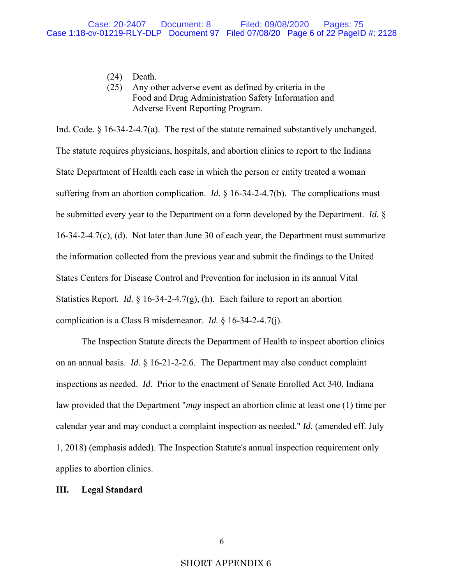- (24) Death.
- (25) Any other adverse event as defined by criteria in the Food and Drug Administration Safety Information and Adverse Event Reporting Program.

Ind. Code. § 16-34-2-4.7(a). The rest of the statute remained substantively unchanged. The statute requires physicians, hospitals, and abortion clinics to report to the Indiana State Department of Health each case in which the person or entity treated a woman suffering from an abortion complication. *Id.* § 16-34-2-4.7(b). The complications must be submitted every year to the Department on a form developed by the Department. *Id.* § 16-34-2-4.7(c), (d). Not later than June 30 of each year, the Department must summarize the information collected from the previous year and submit the findings to the United States Centers for Disease Control and Prevention for inclusion in its annual Vital Statistics Report. *Id.* § 16-34-2-4.7(g), (h). Each failure to report an abortion complication is a Class B misdemeanor. *Id.* § 16-34-2-4.7(j).

The Inspection Statute directs the Department of Health to inspect abortion clinics on an annual basis. *Id.* § 16-21-2-2.6. The Department may also conduct complaint inspections as needed. *Id.* Prior to the enactment of Senate Enrolled Act 340, Indiana law provided that the Department "*may* inspect an abortion clinic at least one (1) time per calendar year and may conduct a complaint inspection as needed." *Id.* (amended eff. July 1, 2018) (emphasis added). The Inspection Statute's annual inspection requirement only applies to abortion clinics.

### **III. Legal Standard**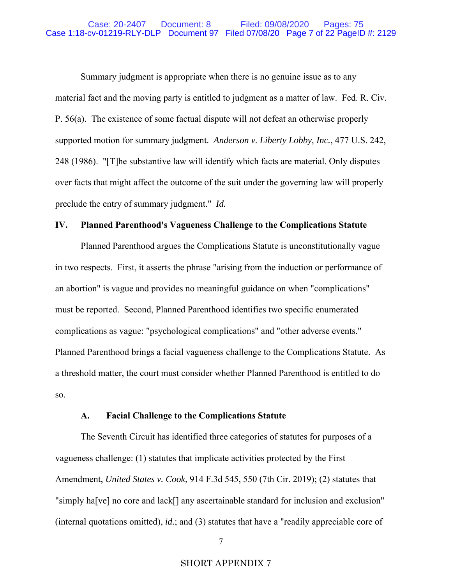Summary judgment is appropriate when there is no genuine issue as to any material fact and the moving party is entitled to judgment as a matter of law. Fed. R. Civ. P. 56(a). The existence of some factual dispute will not defeat an otherwise properly supported motion for summary judgment. *Anderson v. Liberty Lobby, Inc.*, 477 U.S. 242, 248 (1986). "[T]he substantive law will identify which facts are material. Only disputes over facts that might affect the outcome of the suit under the governing law will properly preclude the entry of summary judgment." *Id.*

## **IV. Planned Parenthood's Vagueness Challenge to the Complications Statute**

Planned Parenthood argues the Complications Statute is unconstitutionally vague in two respects. First, it asserts the phrase "arising from the induction or performance of an abortion" is vague and provides no meaningful guidance on when "complications" must be reported. Second, Planned Parenthood identifies two specific enumerated complications as vague: "psychological complications" and "other adverse events." Planned Parenthood brings a facial vagueness challenge to the Complications Statute. As a threshold matter, the court must consider whether Planned Parenthood is entitled to do so.

## **A. Facial Challenge to the Complications Statute**

The Seventh Circuit has identified three categories of statutes for purposes of a vagueness challenge: (1) statutes that implicate activities protected by the First Amendment, *United States v. Cook*, 914 F.3d 545, 550 (7th Cir. 2019); (2) statutes that "simply ha[ve] no core and lack[] any ascertainable standard for inclusion and exclusion" (internal quotations omitted), *id.*; and (3) statutes that have a "readily appreciable core of

## SHORT APPENDIX 7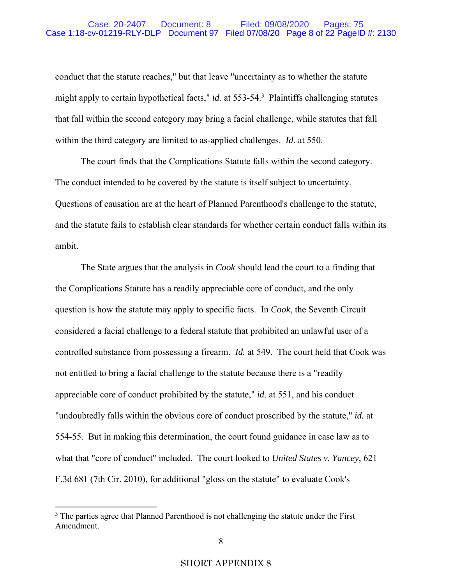conduct that the statute reaches," but that leave "uncertainty as to whether the statute might apply to certain hypothetical facts," *id.* at 553-54.3 Plaintiffs challenging statutes that fall within the second category may bring a facial challenge, while statutes that fall within the third category are limited to as-applied challenges. *Id.* at 550.

The court finds that the Complications Statute falls within the second category. The conduct intended to be covered by the statute is itself subject to uncertainty. Questions of causation are at the heart of Planned Parenthood's challenge to the statute, and the statute fails to establish clear standards for whether certain conduct falls within its ambit.

The State argues that the analysis in *Cook* should lead the court to a finding that the Complications Statute has a readily appreciable core of conduct, and the only question is how the statute may apply to specific facts. In *Cook*, the Seventh Circuit considered a facial challenge to a federal statute that prohibited an unlawful user of a controlled substance from possessing a firearm. *Id.* at 549. The court held that Cook was not entitled to bring a facial challenge to the statute because there is a "readily appreciable core of conduct prohibited by the statute," *id*. at 551, and his conduct "undoubtedly falls within the obvious core of conduct proscribed by the statute," *id.* at 554-55. But in making this determination, the court found guidance in case law as to what that "core of conduct" included. The court looked to *United States v. Yancey*, 621 F.3d 681 (7th Cir. 2010), for additional "gloss on the statute" to evaluate Cook's

 $3$  The parties agree that Planned Parenthood is not challenging the statute under the First Amendment.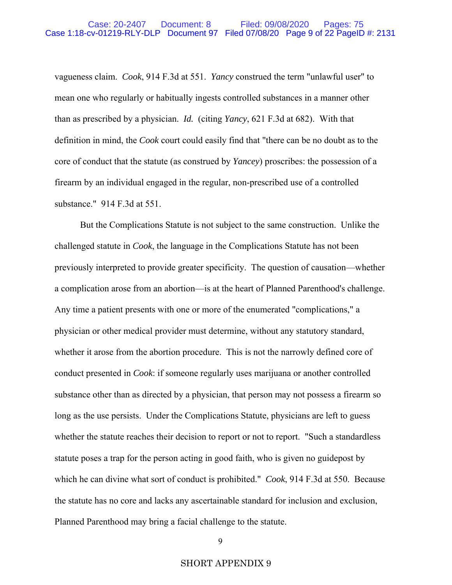vagueness claim. *Cook*, 914 F.3d at 551. *Yancy* construed the term "unlawful user" to mean one who regularly or habitually ingests controlled substances in a manner other than as prescribed by a physician. *Id.* (citing *Yancy*, 621 F.3d at 682). With that definition in mind, the *Cook* court could easily find that "there can be no doubt as to the core of conduct that the statute (as construed by *Yancey*) proscribes: the possession of a firearm by an individual engaged in the regular, non-prescribed use of a controlled substance." 914 F.3d at 551.

But the Complications Statute is not subject to the same construction. Unlike the challenged statute in *Cook*, the language in the Complications Statute has not been previously interpreted to provide greater specificity. The question of causation—whether a complication arose from an abortion—is at the heart of Planned Parenthood's challenge. Any time a patient presents with one or more of the enumerated "complications," a physician or other medical provider must determine, without any statutory standard, whether it arose from the abortion procedure. This is not the narrowly defined core of conduct presented in *Cook*: if someone regularly uses marijuana or another controlled substance other than as directed by a physician, that person may not possess a firearm so long as the use persists. Under the Complications Statute, physicians are left to guess whether the statute reaches their decision to report or not to report. "Such a standardless statute poses a trap for the person acting in good faith, who is given no guidepost by which he can divine what sort of conduct is prohibited." *Cook*, 914 F.3d at 550. Because the statute has no core and lacks any ascertainable standard for inclusion and exclusion, Planned Parenthood may bring a facial challenge to the statute.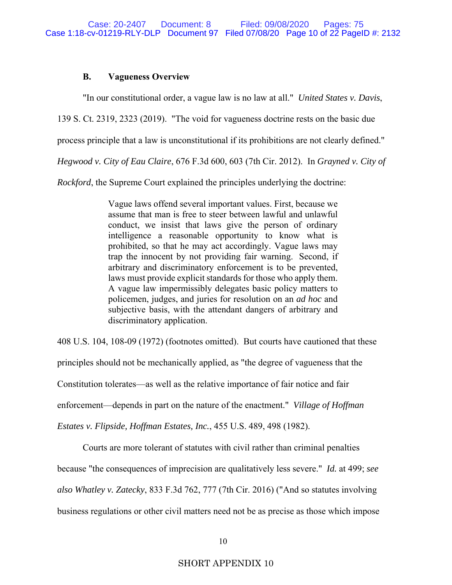### **B. Vagueness Overview**

"In our constitutional order, a vague law is no law at all." *United States v. Davis*,

139 S. Ct. 2319, 2323 (2019). "The void for vagueness doctrine rests on the basic due

process principle that a law is unconstitutional if its prohibitions are not clearly defined."

*Hegwood v. City of Eau Claire*, 676 F.3d 600, 603 (7th Cir. 2012). In *Grayned v. City of* 

*Rockford*, the Supreme Court explained the principles underlying the doctrine:

Vague laws offend several important values. First, because we assume that man is free to steer between lawful and unlawful conduct, we insist that laws give the person of ordinary intelligence a reasonable opportunity to know what is prohibited, so that he may act accordingly. Vague laws may trap the innocent by not providing fair warning. Second, if arbitrary and discriminatory enforcement is to be prevented, laws must provide explicit standards for those who apply them. A vague law impermissibly delegates basic policy matters to policemen, judges, and juries for resolution on an *ad hoc* and subjective basis, with the attendant dangers of arbitrary and discriminatory application.

408 U.S. 104, 108-09 (1972) (footnotes omitted). But courts have cautioned that these principles should not be mechanically applied, as "the degree of vagueness that the Constitution tolerates—as well as the relative importance of fair notice and fair enforcement—depends in part on the nature of the enactment." *Village of Hoffman Estates v. Flipside, Hoffman Estates, Inc.*, 455 U.S. 489, 498 (1982).

Courts are more tolerant of statutes with civil rather than criminal penalties because "the consequences of imprecision are qualitatively less severe." *Id.* at 499; *see also Whatley v. Zatecky*, 833 F.3d 762, 777 (7th Cir. 2016) ("And so statutes involving business regulations or other civil matters need not be as precise as those which impose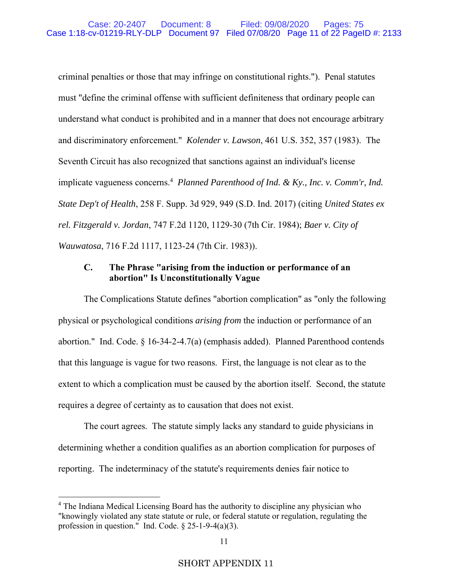criminal penalties or those that may infringe on constitutional rights."). Penal statutes must "define the criminal offense with sufficient definiteness that ordinary people can understand what conduct is prohibited and in a manner that does not encourage arbitrary and discriminatory enforcement." *Kolender v. Lawson*, 461 U.S. 352, 357 (1983). The Seventh Circuit has also recognized that sanctions against an individual's license implicate vagueness concerns.<sup>4</sup> Planned Parenthood of Ind. & Ky., Inc. v. Comm'r, Ind. *State Dep't of Health*, 258 F. Supp. 3d 929, 949 (S.D. Ind. 2017) (citing *United States ex rel. Fitzgerald v. Jordan*, 747 F.2d 1120, 1129-30 (7th Cir. 1984); *Baer v. City of Wauwatosa*, 716 F.2d 1117, 1123-24 (7th Cir. 1983)).

## **C. The Phrase "arising from the induction or performance of an abortion" Is Unconstitutionally Vague**

The Complications Statute defines "abortion complication" as "only the following physical or psychological conditions *arising from* the induction or performance of an abortion." Ind. Code. § 16-34-2-4.7(a) (emphasis added). Planned Parenthood contends that this language is vague for two reasons. First, the language is not clear as to the extent to which a complication must be caused by the abortion itself. Second, the statute requires a degree of certainty as to causation that does not exist.

The court agrees. The statute simply lacks any standard to guide physicians in determining whether a condition qualifies as an abortion complication for purposes of reporting. The indeterminacy of the statute's requirements denies fair notice to

<sup>&</sup>lt;sup>4</sup> The Indiana Medical Licensing Board has the authority to discipline any physician who "knowingly violated any state statute or rule, or federal statute or regulation, regulating the profession in question." Ind. Code.  $\S 25$ -1-9-4(a)(3).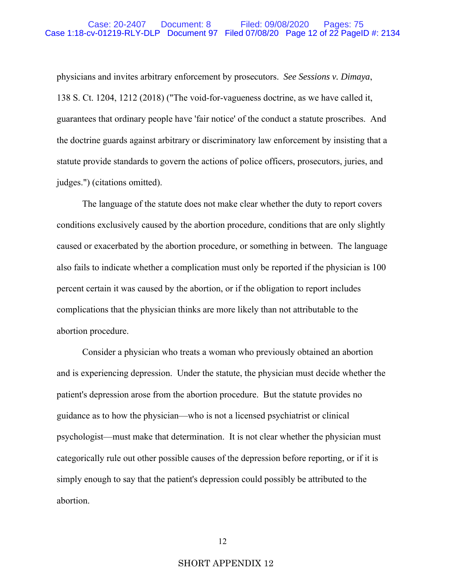physicians and invites arbitrary enforcement by prosecutors. *See Sessions v. Dimaya*, 138 S. Ct. 1204, 1212 (2018) ("The void-for-vagueness doctrine, as we have called it, guarantees that ordinary people have 'fair notice' of the conduct a statute proscribes. And the doctrine guards against arbitrary or discriminatory law enforcement by insisting that a statute provide standards to govern the actions of police officers, prosecutors, juries, and judges.") (citations omitted).

 The language of the statute does not make clear whether the duty to report covers conditions exclusively caused by the abortion procedure, conditions that are only slightly caused or exacerbated by the abortion procedure, or something in between. The language also fails to indicate whether a complication must only be reported if the physician is 100 percent certain it was caused by the abortion, or if the obligation to report includes complications that the physician thinks are more likely than not attributable to the abortion procedure.

 Consider a physician who treats a woman who previously obtained an abortion and is experiencing depression. Under the statute, the physician must decide whether the patient's depression arose from the abortion procedure. But the statute provides no guidance as to how the physician—who is not a licensed psychiatrist or clinical psychologist—must make that determination. It is not clear whether the physician must categorically rule out other possible causes of the depression before reporting, or if it is simply enough to say that the patient's depression could possibly be attributed to the abortion.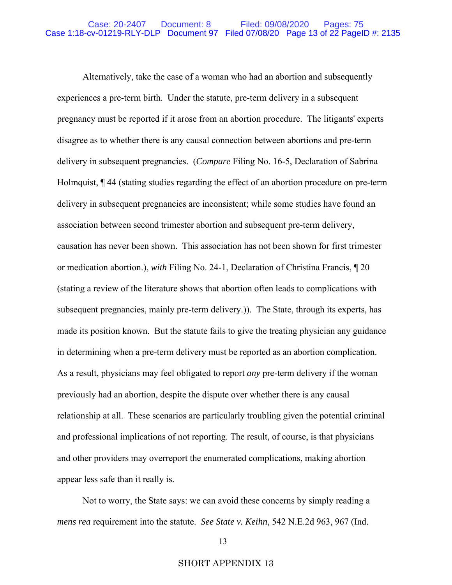Alternatively, take the case of a woman who had an abortion and subsequently experiences a pre-term birth. Under the statute, pre-term delivery in a subsequent pregnancy must be reported if it arose from an abortion procedure. The litigants' experts disagree as to whether there is any causal connection between abortions and pre-term delivery in subsequent pregnancies. (*Compare* Filing No. 16-5, Declaration of Sabrina Holmquist, ¶ 44 (stating studies regarding the effect of an abortion procedure on pre-term delivery in subsequent pregnancies are inconsistent; while some studies have found an association between second trimester abortion and subsequent pre-term delivery, causation has never been shown. This association has not been shown for first trimester or medication abortion.), *with* Filing No. 24-1, Declaration of Christina Francis, ¶ 20 (stating a review of the literature shows that abortion often leads to complications with subsequent pregnancies, mainly pre-term delivery.)). The State, through its experts, has made its position known. But the statute fails to give the treating physician any guidance in determining when a pre-term delivery must be reported as an abortion complication. As a result, physicians may feel obligated to report *any* pre-term delivery if the woman previously had an abortion, despite the dispute over whether there is any causal relationship at all. These scenarios are particularly troubling given the potential criminal and professional implications of not reporting. The result, of course, is that physicians and other providers may overreport the enumerated complications, making abortion appear less safe than it really is.

 Not to worry, the State says: we can avoid these concerns by simply reading a *mens rea* requirement into the statute. *See State v. Keihn*, 542 N.E.2d 963, 967 (Ind.

#### SHORT APPENDIX 13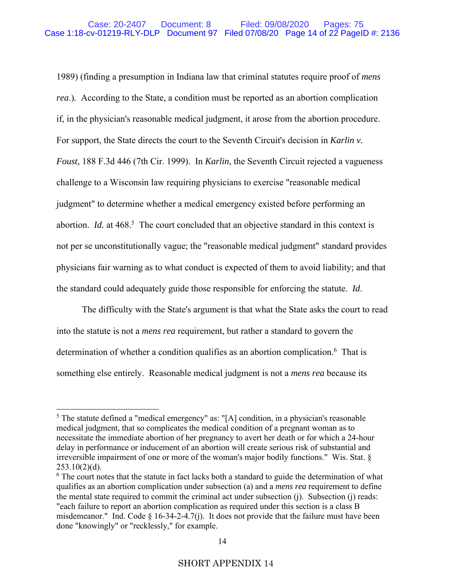1989) (finding a presumption in Indiana law that criminal statutes require proof of *mens rea*.)*.* According to the State, a condition must be reported as an abortion complication if, in the physician's reasonable medical judgment, it arose from the abortion procedure. For support, the State directs the court to the Seventh Circuit's decision in *Karlin v. Foust*, 188 F.3d 446 (7th Cir. 1999). In *Karlin*, the Seventh Circuit rejected a vagueness challenge to a Wisconsin law requiring physicians to exercise "reasonable medical judgment" to determine whether a medical emergency existed before performing an abortion. *Id.* at 468.<sup>5</sup> The court concluded that an objective standard in this context is not per se unconstitutionally vague; the "reasonable medical judgment" standard provides physicians fair warning as to what conduct is expected of them to avoid liability; and that the standard could adequately guide those responsible for enforcing the statute. *Id*.

The difficulty with the State's argument is that what the State asks the court to read into the statute is not a *mens rea* requirement, but rather a standard to govern the determination of whether a condition qualifies as an abortion complication.<sup>6</sup> That is something else entirely. Reasonable medical judgment is not a *mens rea* because its

<sup>&</sup>lt;sup>5</sup> The statute defined a "medical emergency" as: "[A] condition, in a physician's reasonable medical judgment, that so complicates the medical condition of a pregnant woman as to necessitate the immediate abortion of her pregnancy to avert her death or for which a 24-hour delay in performance or inducement of an abortion will create serious risk of substantial and irreversible impairment of one or more of the woman's major bodily functions." Wis. Stat. §  $253.10(2)(d)$ .

 $6$  The court notes that the statute in fact lacks both a standard to guide the determination of what qualifies as an abortion complication under subsection (a) and a *mens rea* requirement to define the mental state required to commit the criminal act under subsection (j). Subsection (j) reads: "each failure to report an abortion complication as required under this section is a class B misdemeanor." Ind. Code § 16-34-2-4.7(j). It does not provide that the failure must have been done "knowingly" or "recklessly," for example.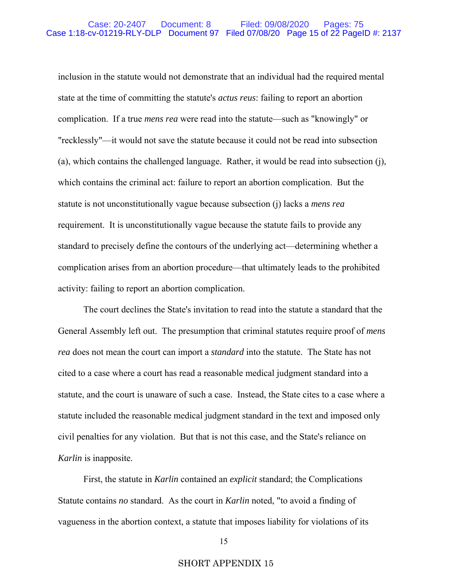inclusion in the statute would not demonstrate that an individual had the required mental state at the time of committing the statute's *actus reus*: failing to report an abortion complication. If a true *mens rea* were read into the statute—such as "knowingly" or "recklessly"—it would not save the statute because it could not be read into subsection (a), which contains the challenged language. Rather, it would be read into subsection (j), which contains the criminal act: failure to report an abortion complication. But the statute is not unconstitutionally vague because subsection (j) lacks a *mens rea* requirement. It is unconstitutionally vague because the statute fails to provide any standard to precisely define the contours of the underlying act—determining whether a complication arises from an abortion procedure—that ultimately leads to the prohibited activity: failing to report an abortion complication.

The court declines the State's invitation to read into the statute a standard that the General Assembly left out. The presumption that criminal statutes require proof of *mens rea* does not mean the court can import a *standard* into the statute. The State has not cited to a case where a court has read a reasonable medical judgment standard into a statute, and the court is unaware of such a case. Instead, the State cites to a case where a statute included the reasonable medical judgment standard in the text and imposed only civil penalties for any violation. But that is not this case, and the State's reliance on *Karlin* is inapposite.

First, the statute in *Karlin* contained an *explicit* standard; the Complications Statute contains *no* standard. As the court in *Karlin* noted, "to avoid a finding of vagueness in the abortion context, a statute that imposes liability for violations of its

## SHORT APPENDIX 15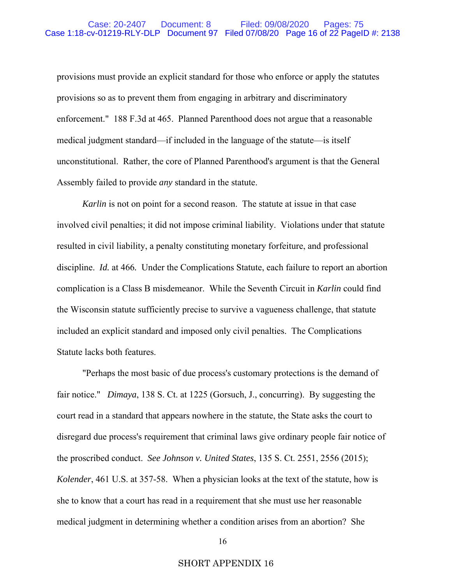provisions must provide an explicit standard for those who enforce or apply the statutes provisions so as to prevent them from engaging in arbitrary and discriminatory enforcement." 188 F.3d at 465. Planned Parenthood does not argue that a reasonable medical judgment standard—if included in the language of the statute—is itself unconstitutional. Rather, the core of Planned Parenthood's argument is that the General Assembly failed to provide *any* standard in the statute.

*Karlin* is not on point for a second reason. The statute at issue in that case involved civil penalties; it did not impose criminal liability. Violations under that statute resulted in civil liability, a penalty constituting monetary forfeiture, and professional discipline. *Id.* at 466*.* Under the Complications Statute, each failure to report an abortion complication is a Class B misdemeanor. While the Seventh Circuit in *Karlin* could find the Wisconsin statute sufficiently precise to survive a vagueness challenge, that statute included an explicit standard and imposed only civil penalties. The Complications Statute lacks both features.

"Perhaps the most basic of due process's customary protections is the demand of fair notice." *Dimaya*, 138 S. Ct. at 1225 (Gorsuch, J., concurring). By suggesting the court read in a standard that appears nowhere in the statute, the State asks the court to disregard due process's requirement that criminal laws give ordinary people fair notice of the proscribed conduct. *See Johnson v. United States*, 135 S. Ct. 2551, 2556 (2015); *Kolender*, 461 U.S. at 357-58. When a physician looks at the text of the statute, how is she to know that a court has read in a requirement that she must use her reasonable medical judgment in determining whether a condition arises from an abortion? She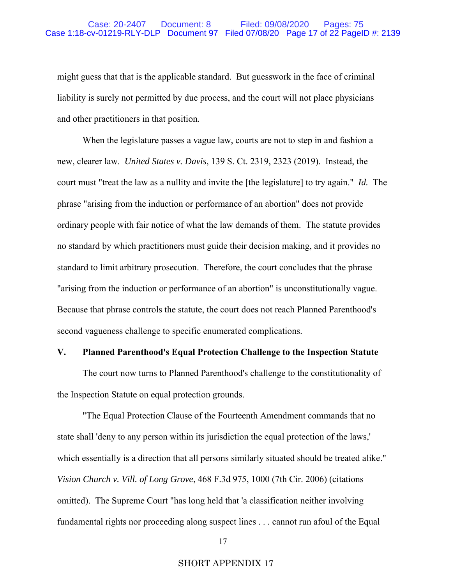might guess that that is the applicable standard. But guesswork in the face of criminal liability is surely not permitted by due process, and the court will not place physicians and other practitioners in that position.

When the legislature passes a vague law, courts are not to step in and fashion a new, clearer law. *United States v. Davis*, 139 S. Ct. 2319, 2323 (2019). Instead, the court must "treat the law as a nullity and invite the [the legislature] to try again." *Id.* The phrase "arising from the induction or performance of an abortion" does not provide ordinary people with fair notice of what the law demands of them. The statute provides no standard by which practitioners must guide their decision making, and it provides no standard to limit arbitrary prosecution. Therefore, the court concludes that the phrase "arising from the induction or performance of an abortion" is unconstitutionally vague. Because that phrase controls the statute, the court does not reach Planned Parenthood's second vagueness challenge to specific enumerated complications.

### **V. Planned Parenthood's Equal Protection Challenge to the Inspection Statute**

 The court now turns to Planned Parenthood's challenge to the constitutionality of the Inspection Statute on equal protection grounds.

 "The Equal Protection Clause of the Fourteenth Amendment commands that no state shall 'deny to any person within its jurisdiction the equal protection of the laws,' which essentially is a direction that all persons similarly situated should be treated alike." *Vision Church v. Vill. of Long Grove*, 468 F.3d 975, 1000 (7th Cir. 2006) (citations omitted). The Supreme Court "has long held that 'a classification neither involving fundamental rights nor proceeding along suspect lines . . . cannot run afoul of the Equal

### SHORT APPENDIX 17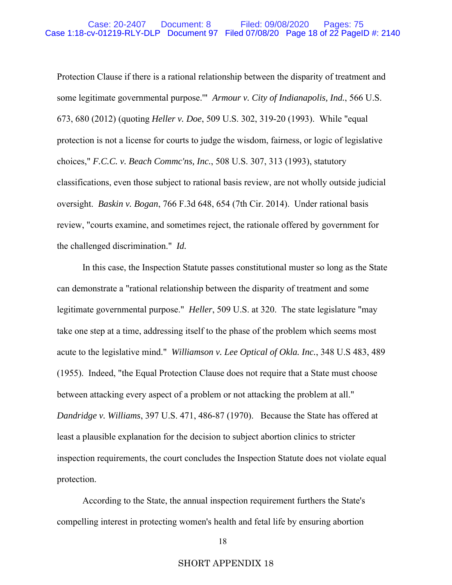Protection Clause if there is a rational relationship between the disparity of treatment and some legitimate governmental purpose.'" *Armour v. City of Indianapolis, Ind.*, 566 U.S. 673, 680 (2012) (quoting *Heller v. Doe*, 509 U.S. 302, 319-20 (1993). While "equal protection is not a license for courts to judge the wisdom, fairness, or logic of legislative choices," *F.C.C. v. Beach Commc'ns, Inc.*, 508 U.S. 307, 313 (1993), statutory classifications, even those subject to rational basis review, are not wholly outside judicial oversight. *Baskin v. Bogan*, 766 F.3d 648, 654 (7th Cir. 2014). Under rational basis review, "courts examine, and sometimes reject, the rationale offered by government for the challenged discrimination." *Id.*

 In this case, the Inspection Statute passes constitutional muster so long as the State can demonstrate a "rational relationship between the disparity of treatment and some legitimate governmental purpose." *Heller*, 509 U.S. at 320. The state legislature "may take one step at a time, addressing itself to the phase of the problem which seems most acute to the legislative mind." *Williamson v. Lee Optical of Okla. Inc.*, 348 U.S 483, 489 (1955). Indeed, "the Equal Protection Clause does not require that a State must choose between attacking every aspect of a problem or not attacking the problem at all." *Dandridge v. Williams*, 397 U.S. 471, 486-87 (1970). Because the State has offered at least a plausible explanation for the decision to subject abortion clinics to stricter inspection requirements, the court concludes the Inspection Statute does not violate equal protection.

According to the State, the annual inspection requirement furthers the State's compelling interest in protecting women's health and fetal life by ensuring abortion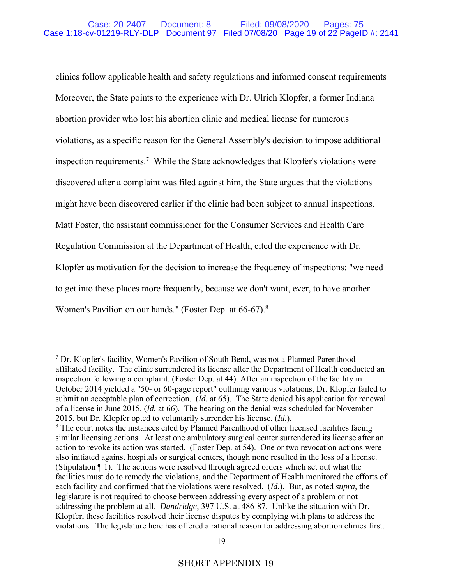clinics follow applicable health and safety regulations and informed consent requirements Moreover, the State points to the experience with Dr. Ulrich Klopfer, a former Indiana abortion provider who lost his abortion clinic and medical license for numerous violations, as a specific reason for the General Assembly's decision to impose additional inspection requirements.7 While the State acknowledges that Klopfer's violations were discovered after a complaint was filed against him, the State argues that the violations might have been discovered earlier if the clinic had been subject to annual inspections. Matt Foster, the assistant commissioner for the Consumer Services and Health Care Regulation Commission at the Department of Health, cited the experience with Dr. Klopfer as motivation for the decision to increase the frequency of inspections: "we need to get into these places more frequently, because we don't want, ever, to have another Women's Pavilion on our hands." (Foster Dep. at 66-67).<sup>8</sup>

<sup>&</sup>lt;sup>7</sup> Dr. Klopfer's facility, Women's Pavilion of South Bend, was not a Planned Parenthoodaffiliated facility. The clinic surrendered its license after the Department of Health conducted an inspection following a complaint. (Foster Dep. at 44). After an inspection of the facility in October 2014 yielded a "50- or 60-page report" outlining various violations, Dr. Klopfer failed to submit an acceptable plan of correction. (*Id.* at 65). The State denied his application for renewal of a license in June 2015. (*Id.* at 66). The hearing on the denial was scheduled for November 2015, but Dr. Klopfer opted to voluntarily surrender his license. (*Id.*).

<sup>&</sup>lt;sup>8</sup> The court notes the instances cited by Planned Parenthood of other licensed facilities facing similar licensing actions. At least one ambulatory surgical center surrendered its license after an action to revoke its action was started. (Foster Dep. at 54). One or two revocation actions were also initiated against hospitals or surgical centers, though none resulted in the loss of a license. (Stipulation ¶ 1). The actions were resolved through agreed orders which set out what the facilities must do to remedy the violations, and the Department of Health monitored the efforts of each facility and confirmed that the violations were resolved. (*Id.*). But, as noted *supra*, the legislature is not required to choose between addressing every aspect of a problem or not addressing the problem at all. *Dandridge*, 397 U.S. at 486-87. Unlike the situation with Dr. Klopfer, these facilities resolved their license disputes by complying with plans to address the violations. The legislature here has offered a rational reason for addressing abortion clinics first.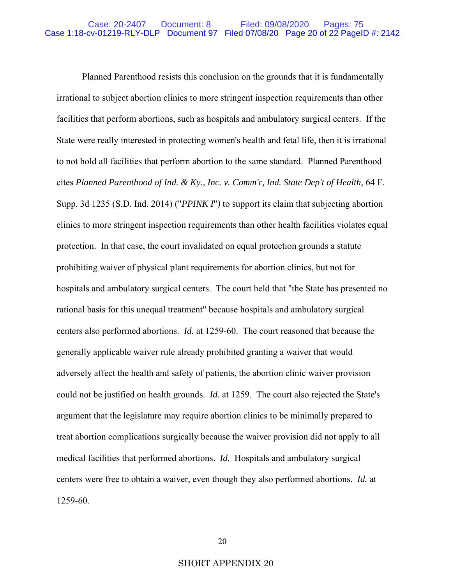Planned Parenthood resists this conclusion on the grounds that it is fundamentally irrational to subject abortion clinics to more stringent inspection requirements than other facilities that perform abortions, such as hospitals and ambulatory surgical centers. If the State were really interested in protecting women's health and fetal life, then it is irrational to not hold all facilities that perform abortion to the same standard. Planned Parenthood cites *Planned Parenthood of Ind. & Ky., Inc. v. Comm'r, Ind. State Dep't of Health*, 64 F. Supp. 3d 1235 (S.D. Ind. 2014) ("*PPINK I*"*)* to support its claim that subjecting abortion clinics to more stringent inspection requirements than other health facilities violates equal protection. In that case, the court invalidated on equal protection grounds a statute prohibiting waiver of physical plant requirements for abortion clinics, but not for hospitals and ambulatory surgical centers. The court held that "the State has presented no rational basis for this unequal treatment" because hospitals and ambulatory surgical centers also performed abortions. *Id.* at 1259-60. The court reasoned that because the generally applicable waiver rule already prohibited granting a waiver that would adversely affect the health and safety of patients, the abortion clinic waiver provision could not be justified on health grounds. *Id.* at 1259. The court also rejected the State's argument that the legislature may require abortion clinics to be minimally prepared to treat abortion complications surgically because the waiver provision did not apply to all medical facilities that performed abortions. *Id.* Hospitals and ambulatory surgical centers were free to obtain a waiver, even though they also performed abortions. *Id.* at 1259-60.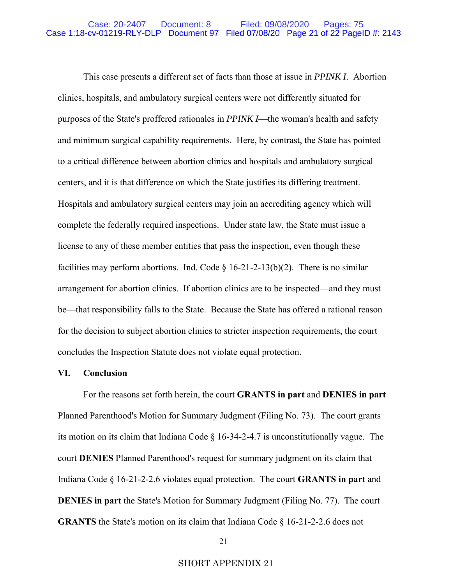This case presents a different set of facts than those at issue in *PPINK I*. Abortion clinics, hospitals, and ambulatory surgical centers were not differently situated for purposes of the State's proffered rationales in *PPINK I*—the woman's health and safety and minimum surgical capability requirements. Here, by contrast, the State has pointed to a critical difference between abortion clinics and hospitals and ambulatory surgical centers, and it is that difference on which the State justifies its differing treatment. Hospitals and ambulatory surgical centers may join an accrediting agency which will complete the federally required inspections. Under state law, the State must issue a license to any of these member entities that pass the inspection, even though these facilities may perform abortions. Ind. Code  $\S 16-21-2-13(b)(2)$ . There is no similar arrangement for abortion clinics. If abortion clinics are to be inspected—and they must be—that responsibility falls to the State. Because the State has offered a rational reason for the decision to subject abortion clinics to stricter inspection requirements, the court concludes the Inspection Statute does not violate equal protection.

### **VI. Conclusion**

 For the reasons set forth herein, the court **GRANTS in part** and **DENIES in part** Planned Parenthood's Motion for Summary Judgment (Filing No. 73). The court grants its motion on its claim that Indiana Code § 16-34-2-4.7 is unconstitutionally vague. The court **DENIES** Planned Parenthood's request for summary judgment on its claim that Indiana Code § 16-21-2-2.6 violates equal protection. The court **GRANTS in part** and **DENIES in part** the State's Motion for Summary Judgment (Filing No. 77). The court **GRANTS** the State's motion on its claim that Indiana Code § 16-21-2-2.6 does not

## SHORT APPENDIX 21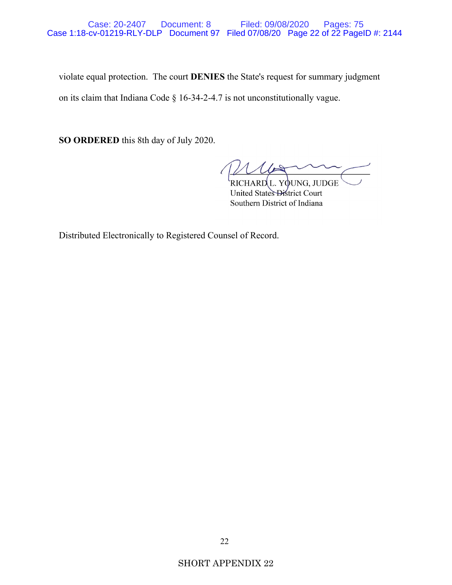violate equal protection. The court **DENIES** the State's request for summary judgment on its claim that Indiana Code § 16-34-2-4.7 is not unconstitutionally vague.

**SO ORDERED** this 8th day of July 2020.

extending the contract of the contract of the contract of the contract of the contract of the contract of the contract of the contract of the contract of the contract of the contract of the contract of the contract of the United States District Court Southern District of Indiana

Distributed Electronically to Registered Counsel of Record.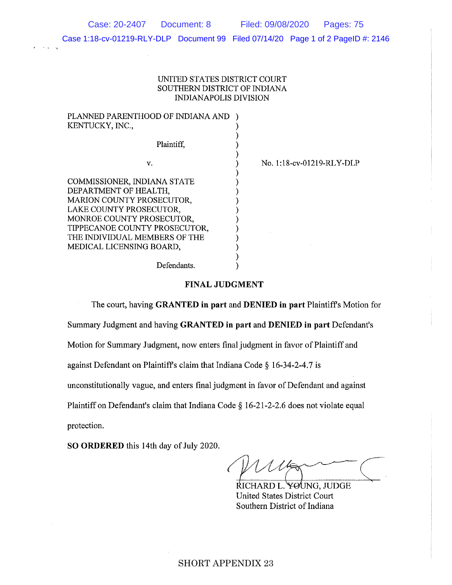Case: 20-2407 Document: 8 Filed: 09/08/2020 Pages: 75

Case 1:18-cv-01219-RLY-DLP Document 99 Filed 07/14/20 Page 1 of 2 PageID #: 2146

### UNITED STATES DISTRICT COURT SOUTHERN DISTRICT OF INDIANA INDIANAPOLIS DIVISION

) ) ) ) ) ) ) ) ) ) ) ) ) ) )

### PLANNED PARENTHOOD OF INDIANA AND ) KENTUCKY, INC.,

v.

Plaintiff,

COMMISSIONER, INDIANA STATE DEPARTMENT OF HEALTH, MARION COUNTY PROSECUTOR, LAKE COUNTY PROSECUTOR, MONROE COUNTY PROSECUTOR, TIPPECANOE COUNTY PROSECUTOR, THE INDIVIDUAL MEMBERS OF THE MEDICAL LICENSING BOARD,

No. 1:18-cv-01219-RLY-DLP

Defendants.

### **FINAL JUDGMENT**

The court, having **GRANTED in part** and **DENIED in part** Plaintiffs Motion for

Summary Judgment and having **GRANTED in part** and **DENIED in part** Defendant's

Motion for Summary Judgment, now enters final judgment in favor of Plaintiff and

against Defendant on Plaintiff's claim that Indiana Code§ 16-34-2-4.7 is

unconstitutionally vague, and enters final judgment in favor of Defendant and against

Plaintiff on Defendant's claim that Indiana Code § 16-21-2-2.6 does not violate equal

protection.

**SO ORDERED** this 14th day of July 2020.

MUG CHARD L. YOUNG, JUDGE

United States District Court Southern District of Indiana

## SHORT APPENDIX 23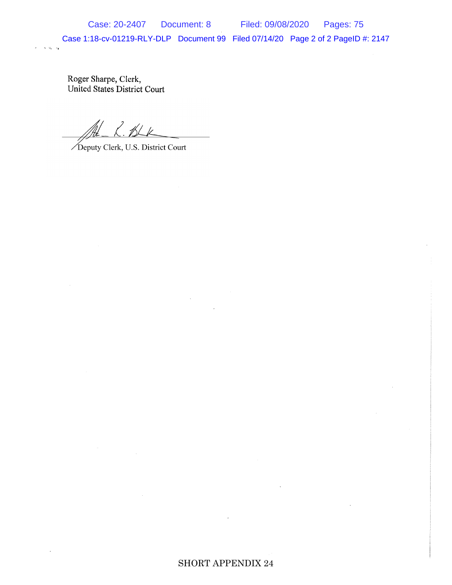Case 1:18-cv-01219-RLY-DLP Document 99 Filed 07/14/20 Page 2 of 2 PageID #: 2147

Roger Sharpe, Clerk,<br>United States District Court

 $\mathbf{v}=\mathbf{v}_0, \ldots, \mathbf{v}_n$ 

Deputy Clerk, U.S. District Court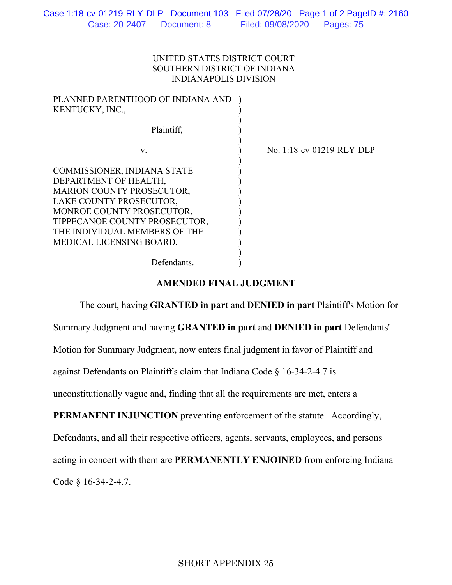## UNITED STATES DISTRICT COURT SOUTHERN DISTRICT OF INDIANA INDIANAPOLIS DIVISION

| PLANNED PARENTHOOD OF INDIANA AND<br>KENTUCKY, INC., |                           |
|------------------------------------------------------|---------------------------|
| Plaintiff,                                           |                           |
| V.                                                   | No. 1:18-cv-01219-RLY-DLP |
| COMMISSIONER, INDIANA STATE                          |                           |
| DEPARTMENT OF HEALTH,                                |                           |
| MARION COUNTY PROSECUTOR,                            |                           |
| LAKE COUNTY PROSECUTOR,                              |                           |
| MONROE COUNTY PROSECUTOR,                            |                           |
| TIPPECANOE COUNTY PROSECUTOR,                        |                           |
| THE INDIVIDUAL MEMBERS OF THE                        |                           |
| MEDICAL LICENSING BOARD,                             |                           |
|                                                      |                           |
| Defendants.                                          |                           |

## **AMENDED FINAL JUDGMENT**

 The court, having **GRANTED in part** and **DENIED in part** Plaintiff's Motion for Summary Judgment and having **GRANTED in part** and **DENIED in part** Defendants' Motion for Summary Judgment, now enters final judgment in favor of Plaintiff and against Defendants on Plaintiff's claim that Indiana Code § 16-34-2-4.7 is unconstitutionally vague and, finding that all the requirements are met, enters a **PERMANENT INJUNCTION** preventing enforcement of the statute. Accordingly, Defendants, and all their respective officers, agents, servants, employees, and persons acting in concert with them are **PERMANENTLY ENJOINED** from enforcing Indiana Code § 16-34-2-4.7.